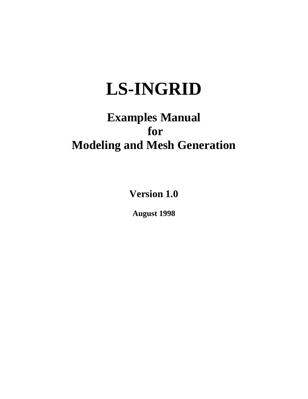# **LS-INGRID**

## **Examples Manual for Modeling and Mesh Generation**

**Version 1.0**

**August 1998**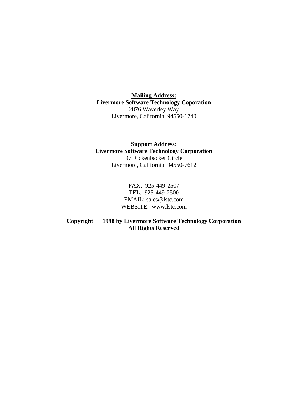**Mailing Address: Livermore Software Technology Coporation** 2876 Waverley Way Livermore, California 94550-1740

**Support Address: Livermore Software Technology Corporation** 97 Rickenbacker Circle Livermore, California 94550-7612

> FAX: 925-449-2507 TEL: 925-449-2500 EMAIL: sales@lstc.com WEBSITE: www.lstc.com

**Copyright 1998 by Livermore Software Technology Corporation All Rights Reserved**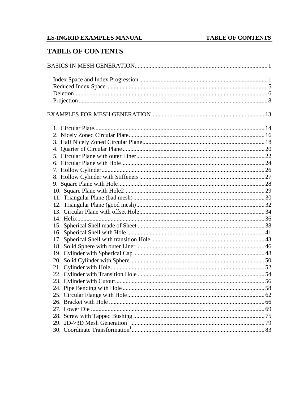## **LS-INGRID EXAMPLES MANUAL**

## **TABLE OF CONTENTS**

## **TABLE OF CONTENTS**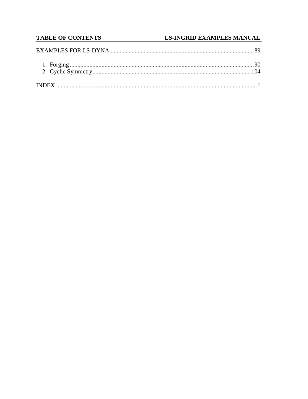## **TABLE OF CONTENTS**

## **LS-INGRID EXAMPLES MANUAL**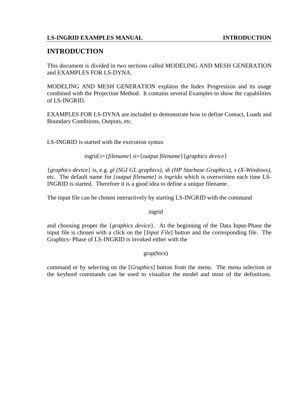## **INTRODUCTION**

This document is divided in two sections called MODELING AND MESH GENERATION and EXAMPLES FOR LS-DYNA.

MODELING AND MESH GENERATION explains the Index Progression and its usage combined with the Projection Method. It contains several Examples to show the capabilities of LS-INGRID.

EXAMPLES FOR LS-DYNA are included to demonstrate how to define Contact, Loads and Boundary Conditions, Outputs, etc.

LS-INGRID is started with the execution syntax

ingrid i={*filename*} o={*output filename*}{*graphics device*}

{*graphics device*} is, e.g. *gl (SGI GL graphics)*, *sb (HP Starbase Graphics)*, *x (X-Windows),* etc. The default name for *{output filename}* is *ingrido* which is overwritten each time LS-INGRID is started. Therefore it is a good idea to define a unique filename.

The input file can be chosen interactively by starting LS-INGRID with the command

ingrid

and choosing proper the {*graphics device*}. At the beginning of the Data Input-Phase the input file is chosen with a click on the [*Input File*] button and the corresponding file. The Graphics- Phase of LS-INGRID is invoked either with the

grap(hics)

command or by selecting on the [*Graphics*] button from the menu. The menu selection or the keybord commands can be used to visualize the model and most of the definitions.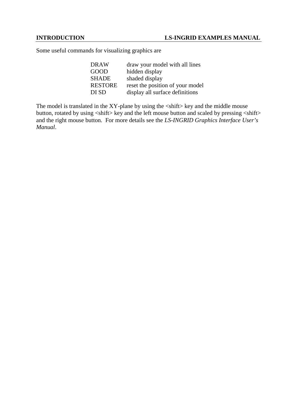Some useful commands for visualizing graphics are

| DRAW           | draw your model with all lines   |
|----------------|----------------------------------|
| GOOD           | hidden display                   |
| <b>SHADE</b>   | shaded display                   |
| <b>RESTORE</b> | reset the position of your model |
| DI SD          | display all surface definitions  |

The model is translated in the XY-plane by using the <shift> key and the middle mouse button, rotated by using  $\langle \sinh(x) \rangle$  key and the left mouse button and scaled by pressing  $\langle \sinh(x) \rangle$ and the right mouse button. For more details see the *LS-INGRID Graphics Interface User's Manual*.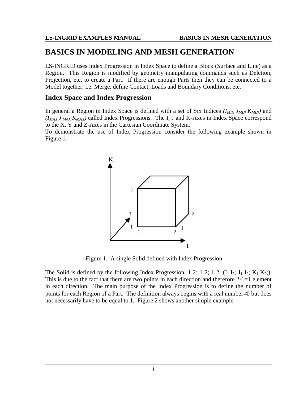## **BASICS IN MODELING AND MESH GENERATION**

LS-INGRID uses Index Progression in Index Space to define a Block (Surface and Line) as a Region. This Region is modified by geometry manipulating commands such as Deletion, Projection, etc. to create a Part. If there are enough Parts then they can be connected to a Model together, i.e. Merge, define Contact, Loads and Boundary Conditions, etc.

## **Index Space and Index Progression**

In general a Region in Index Space is defined with a set of Six Indices  $(I_{MIN} J_{MIN} K_{MIN})$  and  $(I_{MAX} J_{MAX} K_{MAX})$  called Index Progressions. The I, J and K-Axes in Index Space correspond to the X, Y and Z-Axes in the Cartesian Coordinate System.

To demonstrate the use of Index Progression consider the following example shown in Figure 1.



Figure 1. A single Solid defined with Index Progression

The Solid is defined by the following Index Progression: 1 2; 1 2; 1 2;  $(I_1 I_2; J_1 J_2; K_1 K_2;$ ). This is due to the fact that there are two points in each direction and therefore 2-1=1 element in each direction. The main purpose of the Index Progression is to define the number of points for each Region of a Part. The definition always begins with a real number≠0 but does not necessarily have to be equal to 1. Figure 2 shows another simple example.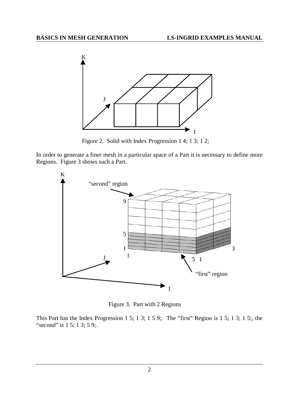

Figure 2. Solid with Index Progression 1 4; 1 3; 1 2;

In order to generate a finer mesh in a particular space of a Part it is necessary to define more Regions. Figure 3 shows such a Part.



Figure 3. Part with 2 Regions

This Part has the Index Progression 1 5; 1 3; 1 5 9;. The "first" Region is 1 5; 1 3; 1 5;, the "second" is 1 5; 1 3; 5 9;.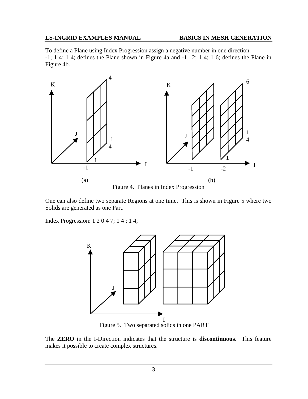#### **LS-INGRID EXAMPLES MANUAL BASICS IN MESH GENERATION**

To define a Plane using Index Progression assign a negative number in one direction. -1; 1 4; 1 4; defines the Plane shown in Figure 4a and  $-1 - 2$ ; 1 4; 1 6; defines the Plane in Figure 4b.



Figure 4. Planes in Index Progression

One can also define two separate Regions at one time. This is shown in Figure 5 where two Solids are generated as one Part.

Index Progression: 1 2 0 4 7; 1 4 ; 1 4;



Figure 5. Two separated solids in one PART

The **ZERO** in the I-Direction indicates that the structure is **discontinuous**. This feature makes it possible to create complex structures.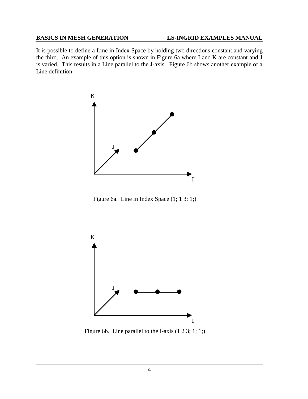#### **BASICS IN MESH GENERATION LS-INGRID EXAMPLES MANUAL**

It is possible to define a Line in Index Space by holding two directions constant and varying the third. An example of this option is shown in Figure 6a where I and K are constant and J is varied. This results in a Line parallel to the J-axis. Figure 6b shows another example of a Line definition.



Figure 6a. Line in Index Space (1; 1 3; 1;)



Figure 6b. Line parallel to the I-axis (1 2 3; 1; 1;)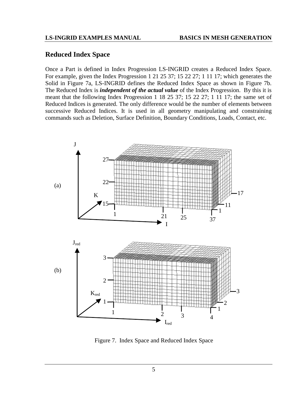## **Reduced Index Space**

Once a Part is defined in Index Progression LS-INGRID creates a Reduced Index Space. For example, given the Index Progression 1 21 25 37; 15 22 27; 1 11 17; which generates the Solid in Figure 7a, LS-INGRID defines the Reduced Index Space as shown in Figure 7b. The Reduced Index is *independent of the actual value* of the Index Progression. By this it is meant that the following Index Progression 1 18 25 37; 15 22 27; 1 11 17; the same set of Reduced Indices is generated. The only difference would be the number of elements between successive Reduced Indices. It is used in all geometry manipulating and constraining commands such as Deletion, Surface Definition, Boundary Conditions, Loads, Contact, etc.



Figure 7. Index Space and Reduced Index Space

5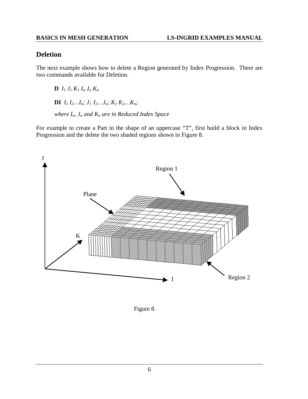## **Deletion**

The next example shows how to delete a Region generated by Index Progression. There are two commands available for Deletion.

**D**  $I_1 J_1 K_1 I_n J_n K_n$ **DI**  $I_1 I_2 ... I_n$ ;  $J_1 J_2 ... J_n$ ;  $K_1 K_2 ... K_n$ ; *where In, Jn and Kn are in Reduced Index Space*

For example to create a Part in the shape of an uppercase "T", first build a block in Index Progression and the delete the two shaded regions shown in Figure 8.



Figure 8.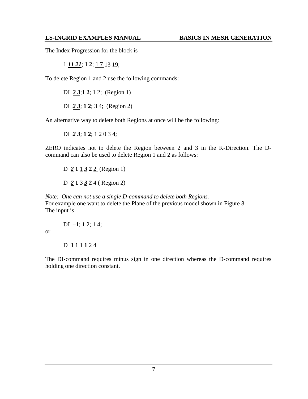#### **LS-INGRID EXAMPLES MANUAL BASICS IN MESH GENERATION**

The Index Progression for the block is

1 *11 21*; **1 2**; 1 7 13 19;

To delete Region 1 and 2 use the following commands:

DI 23;12; 12; (Region 1)

DI *2 3*; **1 2**; 3 4; (Region 2)

An alternative way to delete both Regions at once will be the following:

DI *2 3*; **1 2**; 1 2 0 3 4;

ZERO indicates not to delete the Region between 2 and 3 in the K-Direction. The Dcommand can also be used to delete Region 1 and 2 as follows:

D *2* **1** 1 *3* **2** 2 (Region 1) D *2* **1** 3 *3* **2** 4 ( Region 2)

*Note: One can not use a single D-command to delete both Regions.* For example one want to delete the Plane of the previous model shown in Figure 8. The input is

DI **–1**; 1 2; 1 4;

or

D **1** 1 1 **1** 2 4

The DI-command requires minus sign in one direction whereas the D-command requires holding one direction constant.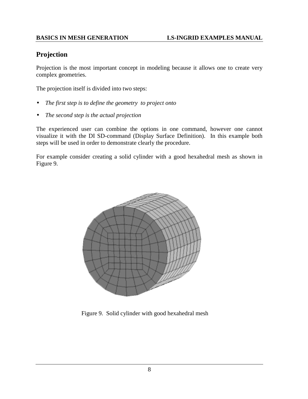## **Projection**

Projection is the most important concept in modeling because it allows one to create very complex geometries.

The projection itself is divided into two steps:

- *The first step is to define the geometry to project onto*
- *The second step is the actual projection*

The experienced user can combine the options in one command, however one cannot visualize it with the DI SD-command (Display Surface Definition). In this example both steps will be used in order to demonstrate clearly the procedure.

For example consider creating a solid cylinder with a good hexahedral mesh as shown in Figure 9.



Figure 9. Solid cylinder with good hexahedral mesh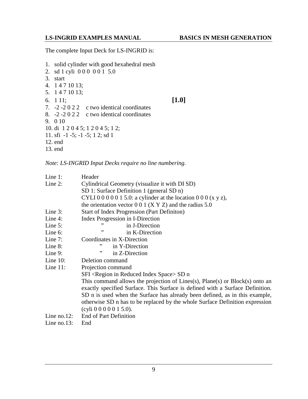The complete Input Deck for LS-INGRID is:

1. solid cylinder with good hexahedral mesh 2. sd 1 cyli 0 0 0 0 0 1 5.0 3. start 4. 1 4 7 10 13; 5. 1 4 7 10 13; 6. 1 11; **[1.0]** 7. -2 -2 0 2 2 c two identical coordinates 8. -2 -2 0 2 2 c two identical coordinates 9. 0 10 10. di 1 2 0 4 5; 1 2 0 4 5; 1 2; 11. sfi -1 -5; -1 -5; 1 2; sd 1 12. end 13. end

*Note: LS-INGRID Input Decks require no line numbering.*

| Line $1$ :  | Header                                                                        |  |  |
|-------------|-------------------------------------------------------------------------------|--|--|
| Line $2$ :  | Cylindrical Geometry (visualize it with DI SD)                                |  |  |
|             | SD 1: Surface Definition 1 (general SD n)                                     |  |  |
|             | CYLI 0 0 0 0 0 1 5.0: a cylinder at the location 0 0 0 (x y z),               |  |  |
|             | the orientation vector $0\ 0\ 1\ (X\ Y\ Z)$ and the radius 5.0                |  |  |
| Line $3$ :  | <b>Start of Index Progression (Part Definition)</b>                           |  |  |
| Line $4$ :  | Index Progression in I-Direction                                              |  |  |
| Line $5$ :  | in J-Direction                                                                |  |  |
| Line $6$ :  | ,,<br>in K-Direction                                                          |  |  |
| Line $7:$   | Coordinates in X-Direction                                                    |  |  |
| Line 8:     | ,,<br>in Y-Direction                                                          |  |  |
| Line $9$ :  | ,,<br>in Z-Direction                                                          |  |  |
| Line $10$ : | Deletion command                                                              |  |  |
| Line $11$ : | Projection command                                                            |  |  |
|             | SFI <region in="" index="" reduced="" space=""> SD n</region>                 |  |  |
|             | This command allows the projection of Lines(s), Plane(s) or Block(s) onto an  |  |  |
|             | exactly specified Surface. This Surface is defined with a Surface Definition. |  |  |
|             | SD n is used when the Surface has already been defined, as in this example,   |  |  |
|             | otherwise SD n has to be replaced by the whole Surface Definition expression  |  |  |
|             | (cyli 0 0 0 0 0 1 5.0).                                                       |  |  |
| Line no.12: | End of Part Definition                                                        |  |  |
| Line no.13: | End                                                                           |  |  |
|             |                                                                               |  |  |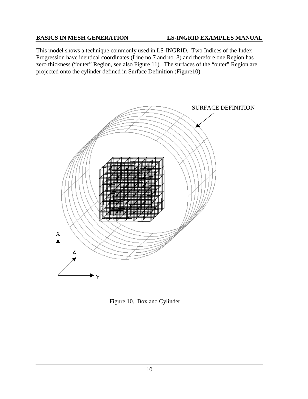This model shows a technique commonly used in LS-INGRID. Two Indices of the Index Progression have identical coordinates (Line no.7 and no. 8) and therefore one Region has zero thickness ("outer" Region, see also Figure 11). The surfaces of the "outer" Region are projected onto the cylinder defined in Surface Definition (Figure10).



Figure 10. Box and Cylinder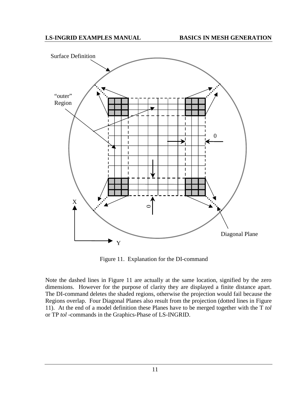

Figure 11. Explanation for the DI-command

Note the dashed lines in Figure 11 are actually at the same location, signified by the zero dimensions. However for the purpose of clarity they are displayed a finite distance apart. The DI-command deletes the shaded regions, otherwise the projection would fail because the Regions overlap. Four Diagonal Planes also result from the projection (dotted lines in Figure 11). At the end of a model definition these Planes have to be merged together with the T *tol* or TP *tol* -commands in the Graphics-Phase of LS-INGRID.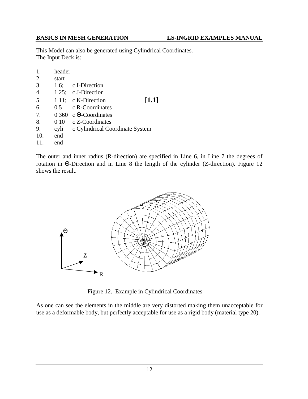This Model can also be generated using Cylindrical Coordinates. The Input Deck is:

| 1.               | header |                                 |       |
|------------------|--------|---------------------------------|-------|
| 2.               | start  |                                 |       |
| 3.               | 16;    | c I-Direction                   |       |
| $\overline{4}$ . |        | 1 25; c J-Direction             |       |
| 5.               |        | 1 11; c K-Direction             | [1.1] |
| 6.               | 0.5    | c R-Coordinates                 |       |
| 7.               |        | $0.360$ c $\Theta$ -Coordinates |       |
| 8.               | 0 10   | c Z-Coordinates                 |       |
| 9.               | cyli   | c Cylindrical Coordinate System |       |
| 10.              | end    |                                 |       |
|                  | end    |                                 |       |

The outer and inner radius (R-direction) are specified in Line 6, in Line 7 the degrees of rotation in Θ-Direction and in Line 8 the length of the cylinder (Z-direction). Figure 12 shows the result.



Figure 12. Example in Cylindrical Coordinates

As one can see the elements in the middle are very distorted making them unacceptable for use as a deformable body, but perfectly acceptable for use as a rigid body (material type 20).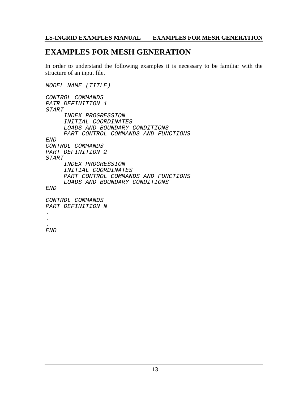## **LS-INGRID EXAMPLES MANUAL EXAMPLES FOR MESH GENERATION**

## **EXAMPLES FOR MESH GENERATION**

In order to understand the following examples it is necessary to be familiar with the structure of an input file.

MODEL NAME (TITLE) CONTROL COMMANDS PATR DEFINITION 1 START INDEX PROGRESSION INITIAL COORDINATES LOADS AND BOUNDARY CONDITIONS PART CONTROL COMMANDS AND FUNCTIONS END CONTROL COMMANDS PART DEFINITION 2 START INDEX PROGRESSION INITIAL COORDINATES PART CONTROL COMMANDS AND FUNCTIONS LOADS AND BOUNDARY CONDITIONS END CONTROL COMMANDS PART DEFINITION N . .

END

.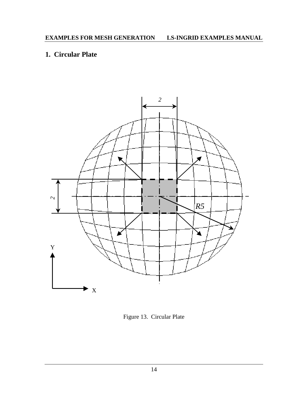## **1. Circular Plate**



Figure 13. Circular Plate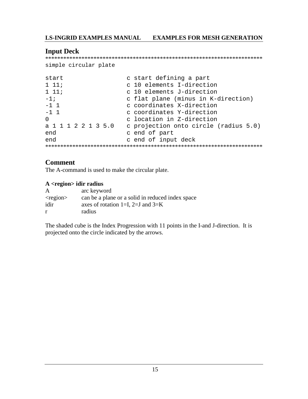#### **EXAMPLES FOR MESH GENERATION LS-INGRID EXAMPLES MANUAL**

## **Input Deck**

```
simple circular plate
```

| start               | c start defining a part               |
|---------------------|---------------------------------------|
| $1\;11;$            | c 10 elements I-direction             |
| $1\;11;$            | c 10 elements J-direction             |
| $-1;$               | c flat plane (minus in K-direction)   |
| $-1 \quad 1$        | c coordinates X-direction             |
| $-1$ 1              | c coordinates Y-direction             |
| $\Omega$            | c location in Z-direction             |
| a 1 1 1 2 2 1 3 5.0 | c projection onto circle (radius 5.0) |
| end                 | c end of part                         |
| end                 | c end of input deck                   |
|                     |                                       |

## **Comment**

The A-command is used to make the circular plate.

#### A <region> idir radius

| $\mathsf{A}$   | arc keyword                                      |
|----------------|--------------------------------------------------|
| $<$ region $>$ | can be a plane or a solid in reduced index space |
| idir           | axes of rotation 1=I, 2=J and $3=K$              |
| r              | radius                                           |

The shaded cube is the Index Progression with 11 points in the I-and J-direction. It is projected onto the circle indicated by the arrows.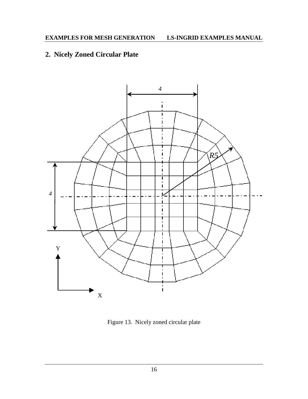## **2. Nicely Zoned Circular Plate**



Figure 13. Nicely zoned circular plate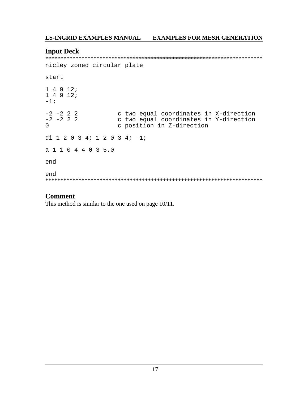#### **EXAMPLES FOR MESH GENERATION LS-INGRID EXAMPLES MANUAL**

## **Input Deck**

nicley zoned circular plate start  $14912;$  $14912;$  $-1;$  $-2$   $-2$  2 2 c two equal coordinates in X-direction  $-2$   $-2$  2 2 c two equal coordinates in Y-direction c position in Z-direction  $\Omega$ di 1 2 0 3 4; 1 2 0 3 4; -1; a 1 1 0 4 4 0 3 5.0 end end 

## **Comment**

This method is similar to the one used on page  $10/11$ .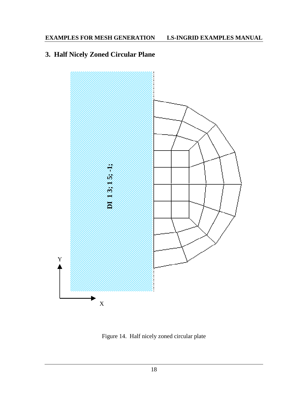## **EXAMPLES FOR MESH GENERATION LS-INGRID EXAMPLES MANUAL**

## **3. Half Nicely Zoned Circular Plane**

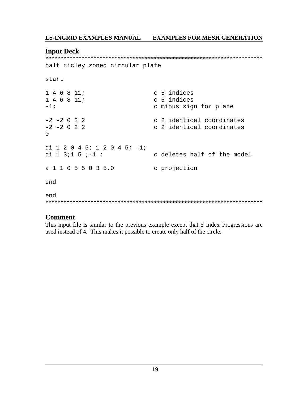#### **LS-INGRID EXAMPLES MANUAL EXAMPLES FOR MESH GENERATION**

#### **Input Deck**

half nicley zoned circular plate

```
start
146811;c 5 indices
146811;c 5 indices
-1 ;
                             c minus sign for plane
                            c 2 identical coordinates
-2 -2 0 2 2
-2 -2 0 2 2
                             c 2 identical coordinates
\mathsf{O}di 1 2 0 4 5; 1 2 0 4 5; -1;
                             c deletes half of the model
di 1 3;1 5 ;-1 ;
a 1 1 0 5 5 0 3 5.0 c projection
end
end
```
### **Comment**

This input file is similar to the previous example except that 5 Index Progressions are used instead of 4. This makes it possible to create only half of the circle.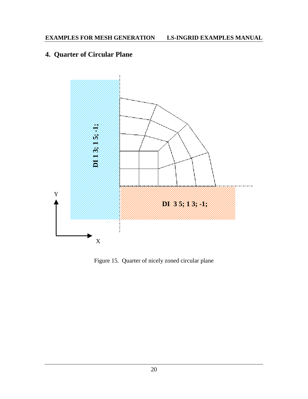## **4. Quarter of Circular Plane**

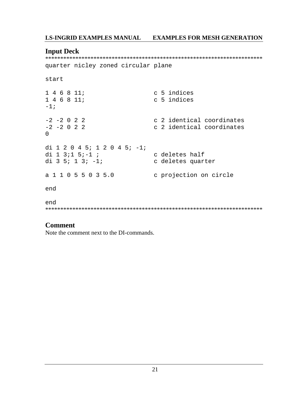## LS-INGRID EXAMPLES MANUAL EXAMPLES FOR MESH GENERATION

### **Input Deck**

quarter nicley zoned circular plane

```
start
```

```
146811ic 5 indices
1 4 6 8 11;c 5 indices
-1;-2 -2 0 2 2
                           c 2 identical coordinates
                            c 2 identical coordinates
-2 -2 0 2 2
\overline{0}di 1 2 0 4 5; 1 2 0 4 5; -1;
di 1 3;1 5;-1 ;
                           c deletes half
di 3 5; 1 3; -1;
                    c deletes quarter
a 1 1 0 5 5 0 3 5.0
                           c projection on circle
end
```
## **Comment**

end

Note the comment next to the DI-commands.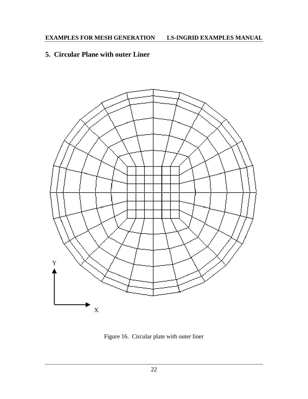## **5. Circular Plane with outer Liner**



Figure 16. Circular plate with outer liner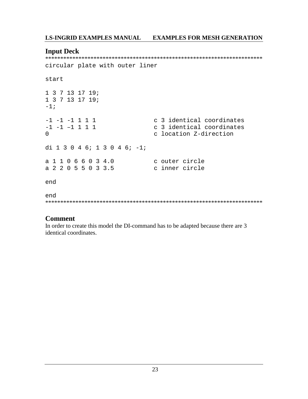## LS-INGRID EXAMPLES MANUAL EXAMPLES FOR MESH GENERATION

#### **Input Deck**

circular plate with outer liner

```
start
```

```
1 3 7 13 17 19;
1 3 7 13 17 19;
-1 ;
-1 -1 -1 1 1 1c 3 identical coordinates
-1 -1 -1 1 1 1c 3 identical coordinates
\Omegac location Z-direction
di 1 3 0 4 6; 1 3 0 4 6; -1;
                     c outer circle
a 1 1 0 6 6 0 3 4.0
a 2 2 0 5 5 0 3 3.5
                      c inner circle
end
end
```
## **Comment**

In order to create this model the DI-command has to be adapted because there are 3 identical coordinates.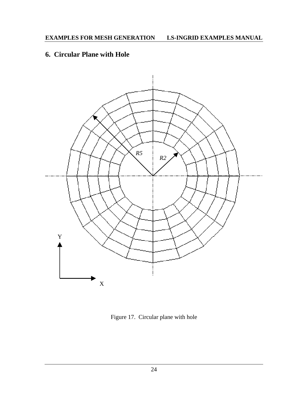## **6. Circular Plane with Hole**



Figure 17. Circular plane with hole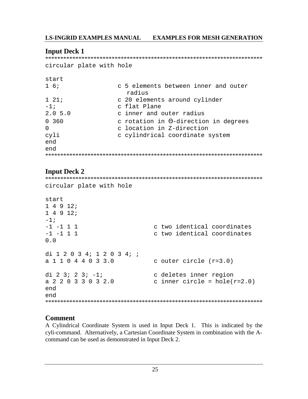#### **LS-INGRID EXAMPLES MANUAL EXAMPLES FOR MESH GENERATION**

## **Input Deck 1**

circular plate with hole

```
start
```

| $1\overline{6}$ ; | c 5 elements between inner and outer         |
|-------------------|----------------------------------------------|
|                   | radius                                       |
| $1\quad21;$       | c 20 elements around cylinder                |
| $-1;$             | c flat Plane                                 |
| 2.05.0            | c inner and outer radius                     |
| 0 360             | c rotation in $\Theta$ -direction in degrees |
| $\Omega$          | c location in Z-direction                    |
| cyli              | c cylindrical coordinate system              |
| end               |                                              |
| end               |                                              |
|                   |                                              |

## **Input Deck 2**

```
circular plate with hole
start
14912:14912i-1 ;
-1 -1 1 1
                   c two identical coordinates
-1 -1 1 1
                    c two identical coordinates
0.0di 1 2 0 3 4; 1 2 0 3 4; ;
a 1 1 0 4 4 0 3 3.0
                   c outer circle (r=3.0)di 2 3; 2 3; -1;
                   c deletes inner region
a 2 2 0 3 3 0 3 2 0
                    c inner circle = hole(r=2.0)end
end
```
## **Comment**

A Cylindrical Coordinate System is used in Input Deck 1. This is indicated by the cyli-command. Alternatively, a Cartesian Coordinate System in combination with the Acommand can be used as demonstrated in Input Deck 2.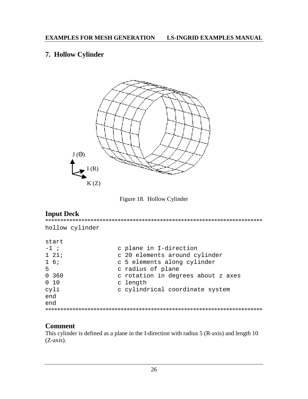## 7. Hollow Cylinder



Figure 18. Hollow Cylinder

## **Input Deck**

hollow cylinder start  $-1$  ; c plane in I-direction  $1 21;$ c 20 elements around cylinder c 5 elements along cylinder  $1\overline{6}$ 5 c radius of plane  $0, 360$ c rotation in degrees about z axes  $0\quad 10$ c length cyli c cylindrical coordinate system end end 

## **Comment**

This cylinder is defined as a plane in the I-direction with radius 5 (R-axis) and length 10  $(Z-axis)$ .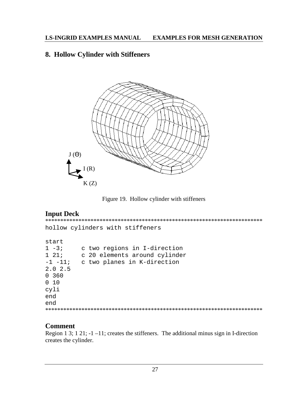## 8. Hollow Cylinder with Stiffeners



Figure 19. Hollow cylinder with stiffeners

## **Input Deck**

hollow cylinders with stiffeners start  $1 - 3i$ c two regions in I-direction  $1\ 21;$ c 20 elements around cylinder -1 -11; c two planes in K-direction  $2.0$  2.5  $0, 360$  $0$  10 cyli end end 

## **Comment**

Region 1 3; 1 21;  $-1$  -11; creates the stiffeners. The additional minus sign in I-direction creates the cylinder.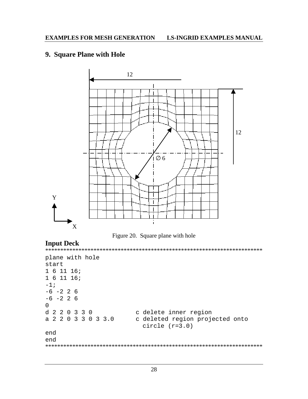## 9. Square Plane with Hole





## **Input Deck**

```
plane with hole
start
1 6 11 16;161116;-1;-6 -2 2 6
-6 -2 2 6
\overline{0}d 2 2 0 3 3 0
              c delete inner region
a 2 2 0 3 3 0 3 3 0
             c deleted region projected onto
                circle (r=3.0)end
end
```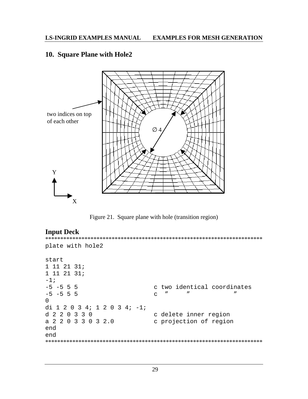## 10. Square Plane with Hole2



Figure 21. Square plane with hole (transition region)

## **Input Deck**

```
plate with hole2
start
1 11 21 31;1 11 21 31;-1;-5 -5 5 5
                  c two identical coordinates
                   -5 -5 5 5
                                 \overline{u}\Omegadi 1 2 0 3 4; 1 2 0 3 4; -1;
d 2 2 0 3 3 0
                  c delete inner region
a 2 2 0 3 3 0 3 2.0 c projection of region
end
end
```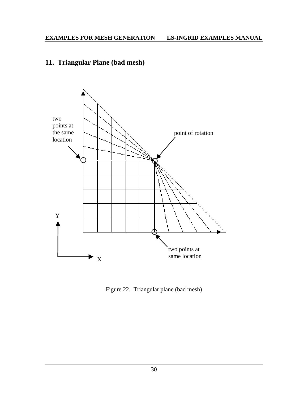## **11. Triangular Plane (bad mesh)**



Figure 22.Triangular plane (bad mesh)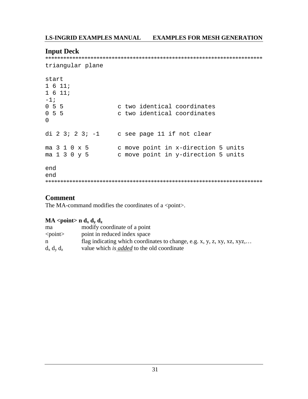## **Input Deck**

```
triangular plane
```

```
start
1611;1611;-1;055c two identical coordinates
0, 5, 5c two identical coordinates
\Omegadi 2 \t3; 2 \t3; -1 c see page 11 if not clear
ma 3 1 0 x 5
              c move point in x-direction 5 units
               c move point in y-direction 5 units
ma 1 3 0 y 5
end
end
```
## **Comment**

The MA-command modifies the coordinates of a <point>.

## $MA <$ point> n d<sub>y</sub> d<sub>y</sub> d<sub>z</sub>

| ma              | modify coordinate of a point                                            |
|-----------------|-------------------------------------------------------------------------|
| $\le$ point $>$ | point in reduced index space                                            |
| n               | flag indicating which coordinates to change, e.g. x, y, z, xy, xz, xyz, |
| $d_x d_y d_z$   | value which is <i>added</i> to the old coordinate                       |
|                 |                                                                         |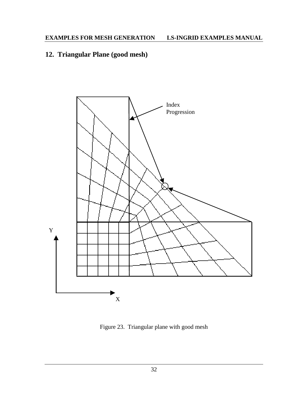# **12. Triangular Plane (good mesh)**



Figure 23. Triangular plane with good mesh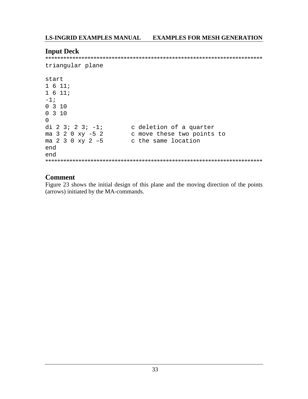## **Input Deck**

```
triangular plane
```

```
start
1611;1611;-1;03100310\Omegadi 2 3; 2 3; -1;<br>ma 3 2 0 xy -5 2<br>ma 2 3 0 xy 2 -5
                  c deletion of a quarter
                   c move these two points to
                  c the same location
end
end
```
## **Comment**

Figure 23 shows the initial design of this plane and the moving direction of the points (arrows) initiated by the MA-commands.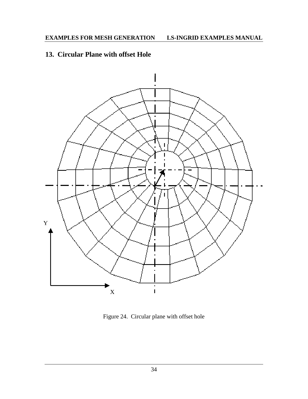## **13. Circular Plane with offset Hole**



Figure 24. Circular plane with offset hole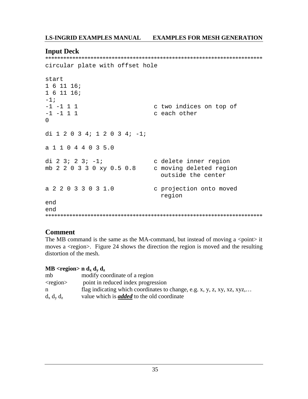## **Input Deck**

circular plate with offset hole

```
start
161116161116;-1;-1 -1 1 1
                        c two indices on top of
-1 -1 1 1
                        c each other
\Omegadi 1 2 0 3 4; 1 2 0 3 4; -1;
a 1 1 0 4 4 0 3 5.0
di 2 3; 2 3; -1;
                        c delete inner region
mb 2 2 0 3 3 0 xy 0.5 0.8
                       c moving deleted region
                          outside the center
a 2 2 0 3 3 0 3 1.0
                        c projection onto moved
                          region
end
end
```
## **Comment**

The MB command is the same as the MA-command, but instead of moving a  $\leq$  point it moves a <region>. Figure 24 shows the direction the region is moved and the resulting distortion of the mesh.

## MB <region> n  $d_x d_y d_z$

| mb             | modify coordinate of a region                                           |
|----------------|-------------------------------------------------------------------------|
| $<$ region $>$ | point in reduced index progression                                      |
| n              | flag indicating which coordinates to change, e.g. x, y, z, xy, xz, xyz, |
| $d_x d_y d_z$  | value which is <i>added</i> to the old coordinate                       |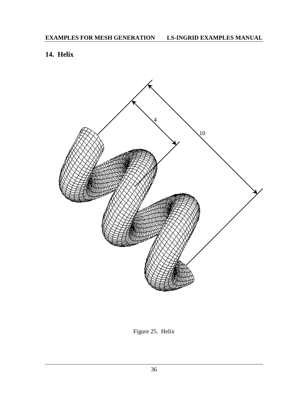# **14. Helix**



Figure 25. Helix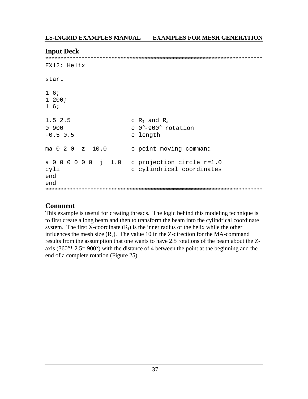### **Input Deck**

 $FX12: H$ elix start  $1\overline{6}$  $1200;$  $1\overline{6}$  $1.5$  2.5 c  $R_I$  and  $R_a$  $c$  0°-900° rotation  $0.900$  $-0.5$  0.5 c length ma 0 2 0 z 10.0 c point moving command a 0 0 0 0 0 0 j  $1.0$ c projection circle r=1.0 c cylindrical coordinates cyli end end 

## **Comment**

This example is useful for creating threads. The logic behind this modeling technique is to first create a long beam and then to transform the beam into the cylindrical coordinate system. The first X-coordinate  $(R_i)$  is the inner radius of the helix while the other influences the mesh size  $(R_a)$ . The value 10 in the Z-direction for the MA-command results from the assumption that one wants to have 2.5 rotations of the beam about the Zaxis (360°\* 2.5= 900°) with the distance of 4 between the point at the beginning and the end of a complete rotation (Figure 25).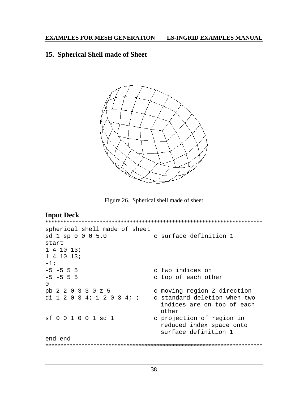## 15. Spherical Shell made of Sheet



Figure 26. Spherical shell made of sheet

## **Input Deck**

```
spherical shell made of sheet
               c surface definition 1
sd 1 sp 0 0 0 5.0
start
141013;141013;-1;-5 -5 5 5
                       c two indices on
-5 -5 5 5
                       c top of each other
\Omegapb 2 2 0 3 3 0 z 5
                      c moving region Z-direction
di 1 \t2 \t0 \t3 \t4 \t1 \t2 \t0 \t3 \t4 \t1 \t1 c standard deletion when two
                         indices are on top of each
                         other
sf 0 0 1 0 0 1 sd 1
                       c projection of region in
                         reduced index space onto
                         surface definition 1
end end
```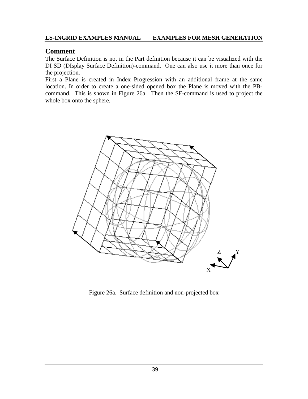## **Comment**

The Surface Definition is not in the Part definition because it can be visualized with the DI SD (DIsplay Surface Definition)-command. One can also use it more than once for the projection.

First a Plane is created in Index Progression with an additional frame at the same location. In order to create a one-sided opened box the Plane is moved with the PBcommand. This is shown in Figure 26a. Then the SF-command is used to project the whole box onto the sphere.



Figure 26a. Surface definition and non-projected box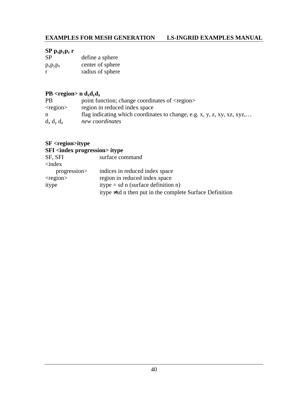## **EXAMPLES FOR MESH GENERATION LS-INGRID EXAMPLES MANUAL**

## **SP pxpypz r**

| <b>SP</b>     | define a sphere  |
|---------------|------------------|
| $p_x p_y p_z$ | center of sphere |
| r             | radius of sphere |

## **PB** <region> n  $d_x d_y d_z$

| <b>PB</b>      | point function; change coordinates of <region></region>                 |
|----------------|-------------------------------------------------------------------------|
| $<$ region $>$ | region in reduced index space                                           |
| n              | flag indicating which coordinates to change, e.g. x, y, z, xy, xz, xyz, |
| $d_x d_y d_z$  | new coordinates                                                         |

## **SF <region>itype SFI** <index progression> itype

| itype $\neq$ sd n then put in the complete Surface Definition |
|---------------------------------------------------------------|
|                                                               |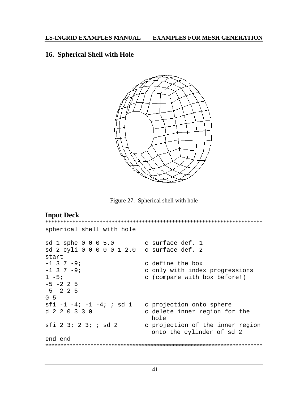## 16. Spherical Shell with Hole



Figure 27. Spherical shell with hole

```
Input Deck
spherical shell with hole
                 c surface def. 1
sd 1 sphe 0 0 0 5.0
sd 2 cyli 0 0 0 0 0 1 2.0 c surface def. 2
start
-1 3 7 -9ic define the box
-1 3 7 -9;
                    c only with index progressions
1 - 5ic (compare with box before!)
-5 -2 2 5
-5 -2 2 5
0.5sfi -1 -4; -1 -4; ; sd 1 \circ projection onto sphere
d 2 2 0 3 3 0
                     c delete inner region for the
                      hole
sfi 2 3; 2 3; ; sd 2
                    c projection of the inner region
                      onto the cylinder of sd 2
end end
```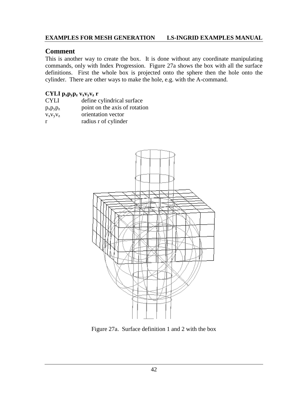## **EXAMPLES FOR MESH GENERATION LS-INGRID EXAMPLES MANUAL**

## **Comment**

This is another way to create the box. It is done without any coordinate manipulating commands, only with Index Progression. Figure 27a shows the box with all the surface definitions. First the whole box is projected onto the sphere then the hole onto the cylinder. There are other ways to make the hole, e.g. with the A-command.

## **CYLI pxpypz vxvyvz r**

| <b>CYLI</b>   | define cylindrical surface    |
|---------------|-------------------------------|
| $p_x p_y p_z$ | point on the axis of rotation |
| $V_X V_Y V_Z$ | orientation vector            |
| r             | radius r of cylinder          |



Figure 27a. Surface definition 1 and 2 with the box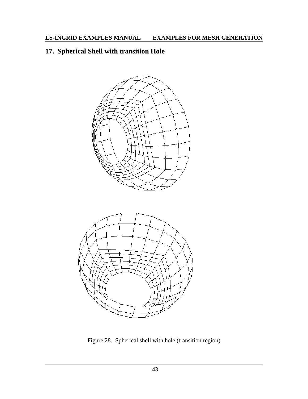# **17. Spherical Shell with transition Hole**



Figure 28. Spherical shell with hole (transition region)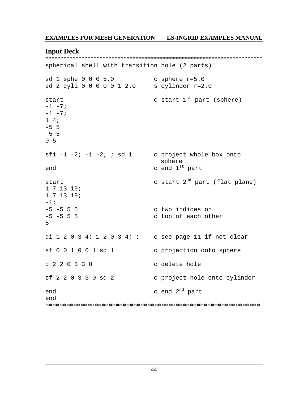#### **EXAMPLES FOR MESH GENERATION LS-INGRID EXAMPLES MANUAL**

#### **Input Deck**

spherical shell with transition hole (2 parts)

sd 1 sphe 0 0 0 5.0 c sphere  $r=5.0$  $sd$  2 cyli 0 0 0 0 0 1 2.0 s cylinder  $r=2.0$ c start  $1^{st}$  part (sphere) start  $-1 - 7i$  $-1$   $-7;$  $1\quad 4i$  $-5$  5  $-5$  5  $0<sub>5</sub>$ sfi -1 -2; -1 -2; ; sd 1 c project whole box onto sphere c end 1st part end c start 2<sup>nd</sup> part (flat plane) start  $1 7 13 19;$  $171319;$  $-1$  ;  $-5$   $-5$  5 5 c two indices on  $-5$   $-5$  5 5 c top of each other 5 di  $1\ 2\ 0\ 3\ 4$ ;  $1\ 2\ 0\ 3\ 4$ ; ; c see page 11 if not clear  $sf001001sd1$ c projection onto sphere  $d220330$ c delete hole sf 2 2 0 3 3 0 sd 2 c project hole onto cylinder c end 2<sup>nd</sup> part end end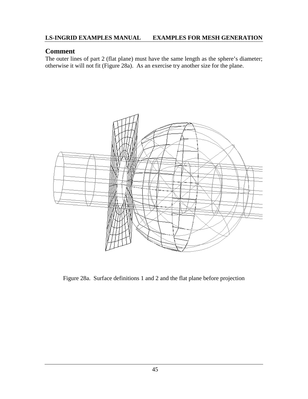## **Comment**

The outer lines of part 2 (flat plane) must have the same length as the sphere's diameter; otherwise it will not fit (Figure 28a). As an exercise try another size for the plane.



Figure 28a. Surface definitions 1 and 2 and the flat plane before projection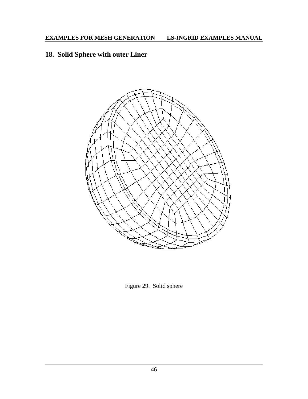# **18. Solid Sphere with outer Liner**



Figure 29. Solid sphere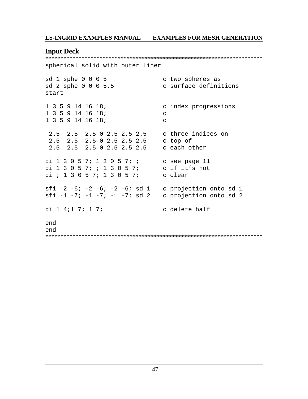$\label{def:1} \centering \centering \begin{minipage}{0.99\linewidth} \hspace*{-0.2cm} \textbf{Input}\normalsize \begin{minipage}{0.99\linewidth} \hspace*{-0.2cm} \textbf{Next} \normalsize \begin{minipage}{0.99\linewidth} \hspace*{-0.2cm} \textbf{Next} \normalsize \begin{minipage}{0.99\linewidth} \end{minipage} \hspace*{-0.2cm} \textbf{Next} \normalsize \begin{minipage}{0.99\linewidth} \hspace*{-0.2cm} \textbf{Next} \normalsize \begin{minipage}{0.99\linewidth} \end{minipage} \hspace*{-0.2cm}$ spherical solid with outer liner

| sd 1 sphe 0 0 0 5<br>sd 2 sphe 0 0 0 5.5<br>start                                                                                 | c two spheres as<br>c surface definitions |
|-----------------------------------------------------------------------------------------------------------------------------------|-------------------------------------------|
| 1 3 5 9 14 16 18;<br>1 3 5 9 14 16 18;<br>1 3 5 9 14 16 18;                                                                       | c index progressions<br>C<br>C            |
| $-2.5$ $-2.5$ $-2.5$ 0 2.5 2.5 2.5 c three indices on<br>$-2.5$ $-2.5$ $-2.5$ 0 2.5 2.5 2.5<br>$-2.5$ $-2.5$ $-2.5$ 0 2.5 2.5 2.5 | c top of<br>c each other                  |
| di 1 3 0 5 7; 1 3 0 5 7; ;<br>di 1 3 0 5 7; ; 1 3 0 5 7;<br>di ; 1 3 0 5 7; 1 3 0 5 7;                                            | c see page 11<br>c if it's not<br>c clear |
| sfi $-2$ $-6$ ; $-2$ $-6$ ; $-2$ $-6$ ; sd 1 c projection onto sd 1<br>sfi -1 -7; -1 -7; -1 -7; sd 2                              | c projection onto sd 2                    |
| di 1 4;1 7; 1 7;                                                                                                                  | c delete half                             |
| end<br>end                                                                                                                        |                                           |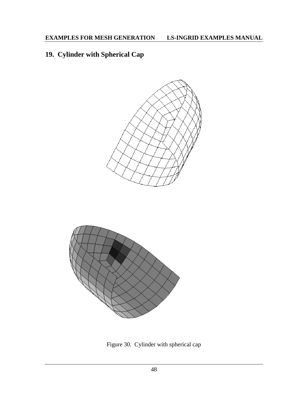# **19. Cylinder with Spherical Cap**



Figure 30. Cylinder with spherical cap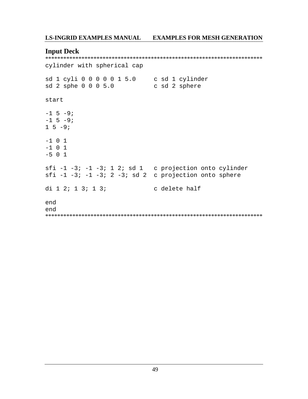### **Input Deck**

cylinder with spherical cap sd 1 cyli 0 0 0 0 0 1 5.0 c sd 1 cylinder<br>sd 2 sphe 0 0 0 5.0 c sd 2 sphere start  $-1$  5  $-9i$  $-1$  5  $-9$ ;  $1 5 -9;$  $-1$  0 1  $-1$  0 1  $-5$  0 1 sfi  $-1$   $-3$ ;  $-1$   $-3$ ; 1 2; sd 1 c projection onto cylinder sfi -1 -3; -1 -3; 2 -3; sd 2 c projection onto sphere di 1 2; 1 3; 1 3; c delete half end end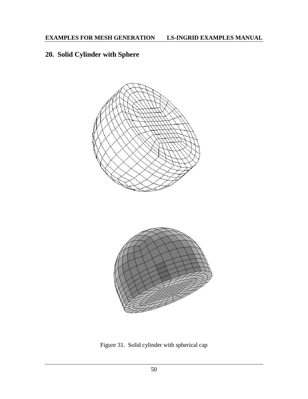# **20. Solid Cylinder with Sphere**



Figure 31. Solid cylinder with spherical cap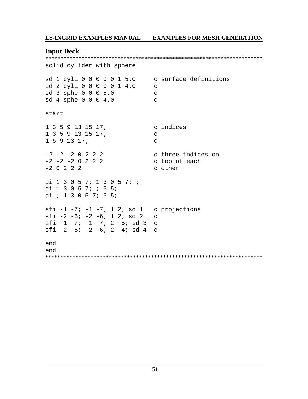## **Input Deck**

solid cylider with sphere sd 1 cyli 0 0 0 0 0 1 5.0 c surface definitions sd 2 cyli 0 0 0 0 0 1 4.0  $\mathbf C$ sd 3 sphe 0 0 0 5.0  $\mathbf C$ sd 4 sphe 0 0 0 4.0  $\mathbf{C}$ start 1 3 5 9 13 15 17; c indices  $1$  3 5 9 13 15 17;  $\mathbf{C}$  $1591317$  $\mathbf{C}$ c three indices on  $-2$   $-2$   $-2$  0 2 2 2  $-2$   $-2$   $-2$  0 2 2 2 c top of each  $-2$  0 2 2 2 c other

di 1 3 0 5 7; 1 3 0 5 7; ; di 1 3 0 5 7; ; 3 5; di ; 1 3 0 5 7; 3 5; sfi  $-1$   $-7$ ;  $-1$   $-7$ ;  $1$   $2$ ; sd  $1$  c projections sfi  $-2$   $-6$ ;  $-2$   $-6$ ; 1 2; sd 2  $\mathsf{C}$ sfi  $-1$   $-7$ ;  $-1$   $-7$ ;  $2$   $-5$ ; sd 3 c sfi  $-2$   $-6$ ;  $-2$   $-6$ ;  $2$   $-4$ ; sd 4 c

end end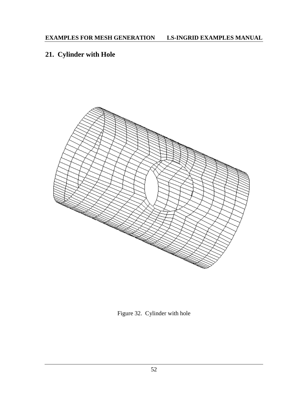# **21. Cylinder with Hole**



Figure 32. Cylinder with hole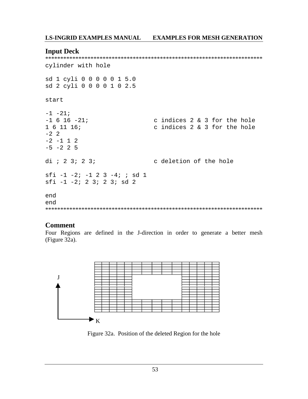### **Input Deck**

```
cylinder with hole
sd 1 cyli 0 0 0 0 0 1 5.0
sd 2 cyli 0 0 0 0 1 0 2.5
start
-1 -21;
-1 6 16 -21;
                   c indices 2 & 3 for the hole
161116c indices 2 & 3 for the hole
-2 2
-2 -1 1 2
-5 -2 2 5
               c deletion of the hole
di ; 2 3; 2 3;
sfi -1 -2; -1 2 3 -4; ; sd 1
sti -1 -2i 2 3i 2 3i sd 2end
end
```
## **Comment**

Four Regions are defined in the J-direction in order to generate a better mesh (Figure 32a).



Figure 32a. Position of the deleted Region for the hole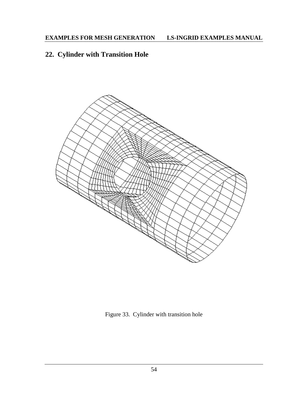# **22. Cylinder with Transition Hole**



Figure 33. Cylinder with transition hole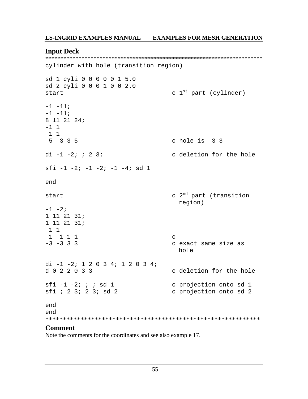## **Input Deck**

cylinder with hole (transition region)

```
sd 1 cyli 0 0 0 0 0 1 5.0
sd 2 cyli 0 0 0 1 0 0 2.0
                                     c 1<sup>st</sup> part (cylinder)
start
-1 - 11i-1 -11;
8 11 21 24;
-1 1
-1 1
-5 -3 3 5
                                     c hole is -3 3
di -1 -2; ; 2 3;
                                     c deletion for the hole
sfi -1 -2; -1 -2; -1 -4; sd 1
end
                                     c 2<sup>nd</sup> part (transition
start
                                       region)
-1 -2i1 11 21 31;1 11 21 31;-1 1
-1 -1 1 1
                                     \mathcal{C}-3 -3 3 3
                                     c exact same size as
                                       hole
di -1 -2; 1 2 0 3 4; 1 2 0 3 4;
d022033c deletion for the hole
sfi -1 -2; ; ; sd 1c projection onto sd 1
sfi ; 2 3; 2 3; sd 2
                                     c projection onto sd 2
end
end
```
## **Comment**

Note the comments for the coordinates and see also example 17.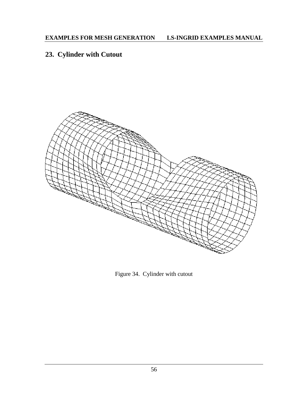# **23. Cylinder with Cutout**



Figure 34. Cylinder with cutout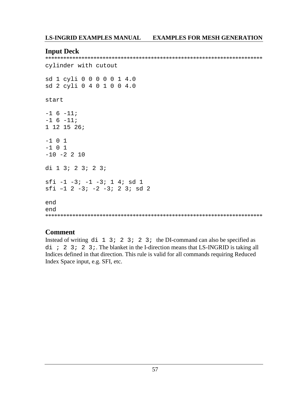## **Input Deck**

```
cylinder with cutout
sd 1 cyli 0 0 0 0 0 1 4.0
sd 2 cyli 0 4 0 1 0 0 4.0
start
-1 6 -11;
-1 6 -11;1 12 15 26;-1 0 1
-1 0 1
-10 -2 2 10di 1 3; 2 3; 2 3;
sfi -1 -3i -1 -3i 1 4i sd 1sfi - 1 2 - 3i - 2 - 3i 2 3i sd 2end
end
```
## **Comment**

Instead of writing  $di \ 1 \ 3 \ i \ 2 \ 3 \ i \ 2 \ 3 \ i$  the DI-command can also be specified as  $di$  ; 2 3; 2 3; The blanket in the I-direction means that LS-INGRID is taking all Indices defined in that direction. This rule is valid for all commands requiring Reduced Index Space input, e.g. SFI, etc.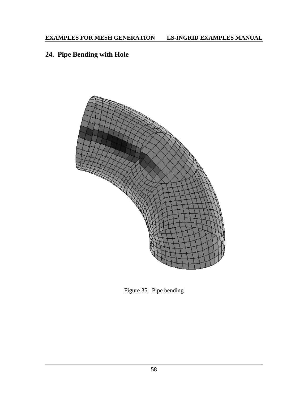# **24. Pipe Bending with Hole**



Figure 35. Pipe bending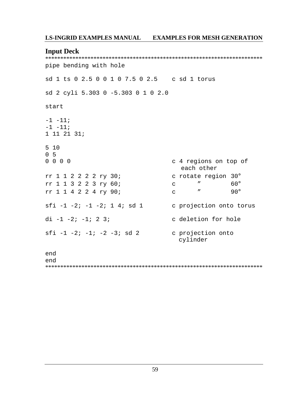#### **Input Deck**

pipe bending with hole sd 1 ts 0 2.5 0 0 1 0 7.5 0 2.5 c sd 1 torus sd 2 cyli 5.303 0 -5.303 0 1 0 2.0 start  $-1$   $-11$ ;  $-1 - 11;$  $1 11 21 31;$  $510$  $0<sub>5</sub>$  $0 0 0 0$ c 4 regions on top of each other rr 1 1 2 2 2 2 ry 30; c rotate region 30°  $\mathbf C$  $60^\circ$ rr 1 1 3 2 2 3 ry 60;  $\boldsymbol{\theta}$  $90^{\circ}$ rr 1 1 4 2 2 4 ry 90;  $\mathbf{u}$  $\mathbf C$ sfi  $-1$   $-2$ ;  $-1$   $-2$ ; 1 4; sd 1 c projection onto torus di  $-1$   $-2$ ;  $-1$ ; 2 3; c deletion for hole sfi  $-1$   $-2$ ;  $-1$ ;  $-2$   $-3$ ; sd 2 c projection onto cylinder end end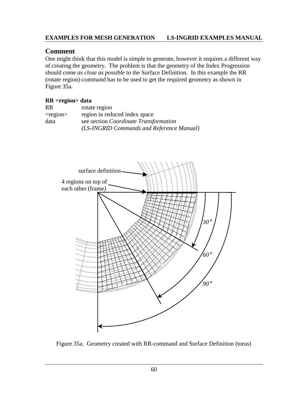## **EXAMPLES FOR MESH GENERATION LS-INGRID EXAMPLES MANUAL**

## **Comment**

One might think that this model is simple to generate, however it requires a different way of creating the geometry. The problem is that the geometry of the Index Progression should come *as close as possible* to the Surface Definition. In this example the RR (rotate region)-command has to be used to get the required geometry as shown in Figure 35a.

### **RR <region> data**

| RR             | rotate region                             |
|----------------|-------------------------------------------|
| $<$ region $>$ | region in reduced index space             |
| data           | see section Coordinate Transformation     |
|                | (LS-INGRID Commands and Reference Manual) |



Figure 35a. Geometry created with RR-command and Surface Definition (torus)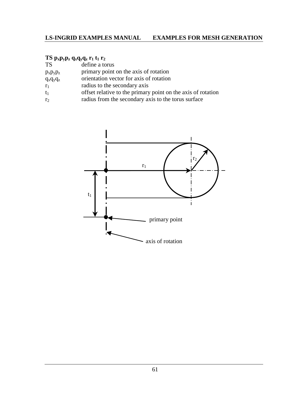## **TS**  $p_x p_y p_z q_x q_y q_z r_1 t_1 r_2$

| <b>TS</b>     | define a torus                                               |
|---------------|--------------------------------------------------------------|
| $p_x p_y p_z$ | primary point on the axis of rotation                        |
| $q_x q_y q_z$ | orientation vector for axis of rotation                      |
| $r_1$         | radius to the secondary axis                                 |
| $t_1$         | offset relative to the primary point on the axis of rotation |

 $r_2$  radius from the secondary axis to the torus surface

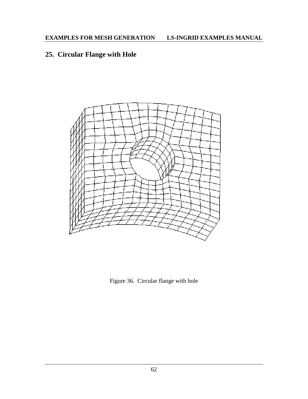# **25. Circular Flange with Hole**



Figure 36. Circular flange with hole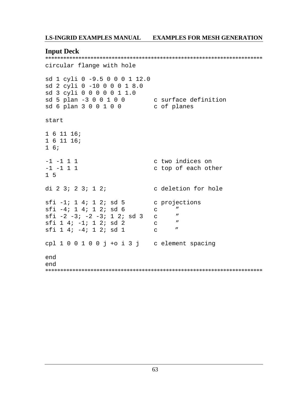## **Input Deck**

```
circular flange with hole
sd 1 cyli 0 -9.5 0 0 0 1 12.0
sd 2 cyli 0 -10 0 0 0 1 8.0
sd 3 cyli 0 0 0 0 0 1 1.0
sd 5 plan -3 0 0 1 0 0 0 c surface definition<br>sd 6 plan 3 0 0 1 0 0 0 c of planes
start
1611161611161\overline{6}c two indices on
-1 -1 1 1
-1 -1 1 1
                           c top of each other
1\overline{5}c deletion for hole
di 2 3; 2 3; 1 2;
sti -1; 1 4; 1 2; sd 5 c projections
sfi -4; 1 4; 1 2; sd 6
                           \overline{C}\overline{u}sfi -2 -3; -2 -3; 1 2; sd 3 c
                                 \mathbf{u}\overline{u}sfi 1 4; -1; 1 2; sd 2
                         \overline{C}sti 1 4i -4i 1 2i sd 1 c
                                 \overline{u}cpl 1 0 0 1 0 0 j + 0 i 3 j c element spacing
end
end
```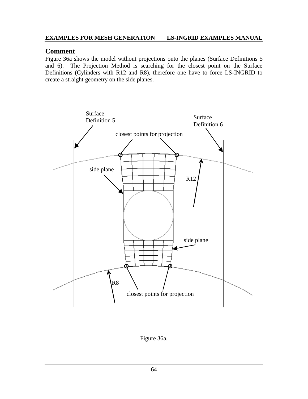## **EXAMPLES FOR MESH GENERATION LS-INGRID EXAMPLES MANUAL**

## **Comment**

Figure 36a shows the model without projections onto the planes (Surface Definitions 5 and 6). The Projection Method is searching for the closest point on the Surface Definitions (Cylinders with R12 and R8), therefore one have to force LS-INGRID to create a straight geometry on the side planes.



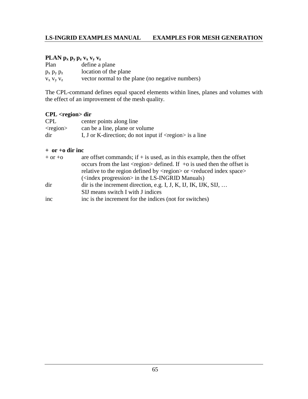## PLAN  $p_x p_y p_z v_x v_y v_z$

| Plan              | define a plane                                   |
|-------------------|--------------------------------------------------|
| $p_x p_y p_z$     | location of the plane                            |
| $V_X$ $V_V$ $V_Z$ | vector normal to the plane (no negative numbers) |

The CPL-command defines equal spaced elements within lines, planes and volumes with the effect of an improvement of the mesh quality.

## **CPL <region> dir**

| <b>CPL</b>     | center points along line                                                  |
|----------------|---------------------------------------------------------------------------|
| $<$ region $>$ | can be a line, plane or volume                                            |
| dir            | I, J or K-direction; do not input if $\langle$ region $\rangle$ is a line |

#### **+ or +o dir inc**

| $+$ or $+$ o | are offset commands; if $+$ is used, as in this example, then the offset<br>occurs from the last $\langle$ region $\rangle$ defined. If +o is used then the offset is<br>relative to the region defined by <region> or <reduced index="" space=""></reduced></region> |
|--------------|-----------------------------------------------------------------------------------------------------------------------------------------------------------------------------------------------------------------------------------------------------------------------|
|              | ( <index progression=""> in the LS-INGRID Manuals)</index>                                                                                                                                                                                                            |
| dir          | dir is the increment direction, e.g. I, J, K, IJ, IK, IJK, SIJ,<br>SIJ means switch I with J indices                                                                                                                                                                  |
|              |                                                                                                                                                                                                                                                                       |
| inc          | inc is the increment for the indices (not for switches)                                                                                                                                                                                                               |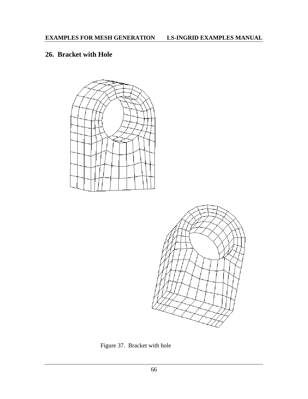## **26. Bracket with Hole**





Figure 37. Bracket with hole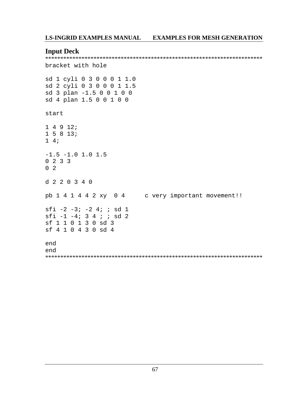#### **Input Deck**

```
bracket with hole
sd 1 cyli 0 3 0 0 0 1 1.0
sd 2 cyli 0 3 0 0 0 1 1.5
sd 3 plan -1.5 0 0 1 0 0
sd 4 plan 1.5 0 0 1 0 0
start
14912:15813;1\quad 4i-1.5 -1.0 1.0 1.50 \t2 \t3 \t30<sub>2</sub>d 2 2 0 3 4 0
pb 1 4 1 4 4 2 xy 0 4 c very important movement!!
sfi -2 -3; -2 4; ; sd 1
sfi -1 -4; 3 4 ; ; sd 2
sf 1 1 0 1 3 0 sd 3
sf 4 1 0 4 3 0 sd 4
end
end
```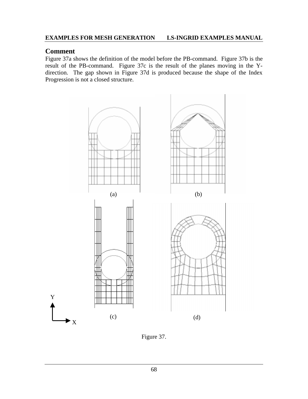# **Comment**

Figure 37a shows the definition of the model before the PB-command. Figure 37b is the result of the PB-command. Figure 37c is the result of the planes moving in the Ydirection. The gap shown in Figure 37d is produced because the shape of the Index Progression is not a closed structure.



Figure 37.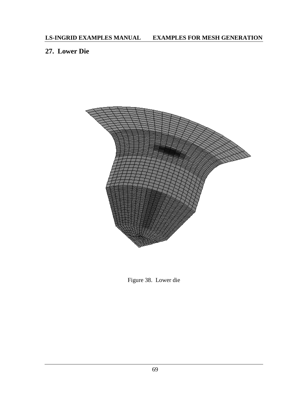# **27. Lower Die**



Figure 38. Lower die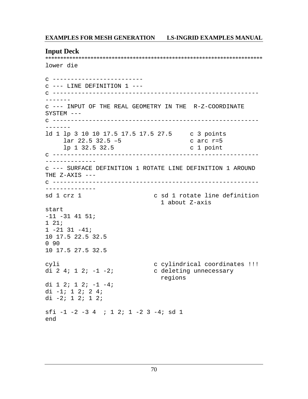#### **Input Deck**

\*\*\*\*\*\*\*\*\*\*\*\*\*\*\*\*\*\*\*\*\*\*\*\*\*\*\*\*\*\*\*\*\*\*\*\*\*\*\*\*\*\*\*\*\*\*\*\*\*\*\*\*\*\*\*\*\*\*\*\*\*\*\*\*\*\*\*\*\*\*\*\* lower die c ------------------------ c --- LINE DEFINITION 1 -- c --------------------------------------------------------- ------ c --- INPUT OF THE REAL GEOMETRY IN THE R-Z-COORDINATE SYSTEM -- c --------------------------------------------------------- ------ ld 1 lp 3 10 10 17.5 17.5 17.5 27.5 c 3 points lar 22.5 32.5 –5 c arc r=5 lp 1 32.5 32.5 c 1 point c --------------------------------------------------------- ------------- c --- SURFACE DEFINITION 1 ROTATE LINE DEFINITION 1 AROUND THE  $Z-AXIS$   $--$ c --------------------------------------------------------- ------------- sd 1 crz 1 c sd 1 rotate line definition 1 about Z-axis start  $-11$   $-31$   $41$   $51$ ; 1 21; 1 -21 31 -41; 10 17.5 22.5 32.5 0 90 10 17.5 27.5 32.5 cyli c cylindrical coordinates !!! di 2 4;  $1 2$ ;  $-1 -2$ ; c deleting unnecessary regions di 1 2; 1 2; -1 -4; di -1; 1 2; 2 4; di -2; 1 2; 1 2; sfi -1 -2 -3 4 ; 1 2; 1 -2 3 -4; sd 1 end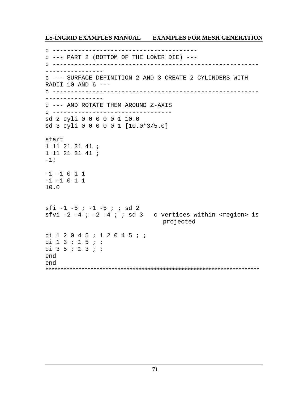```
c ----------------------------------------
c --- PART 2 (BOTTOM OF THE LOWER DIE) ---
c ---------------------------------------------------------
----------------
c --- SURFACE DEFINITION 2 AND 3 CREATE 2 CYLINDERS WITH
RADII 10 AND 6 ---
c ---------------------------------------------------------
----------------
c --- AND ROTATE THEM AROUND Z-AXIS
c ---------------------------------
sd 2 cyli 0 0 0 0 0 1 10.0
sd 3 cyli 0 0 0 0 0 1 [10.0*3/5.0]
start
1 11 21 31 41 ;
1 11 21 31 41 ;
-1;-1 -1 0 1 1
-1 -1 0 1 1
10.0
sfi -1 -5 ; -1 -5 ; ; sd 2
sfvi -2 -4 ; -2 -4 ; ; sd 3 c vertices within <region> is
                                 projected
di 1 2 0 4 5 ; 1 2 0 4 5 ; ;
di 1 3 ; 1 5 ; ;
di 3 5 ; 1 3 ; ;
end
end
***********************************************************************
```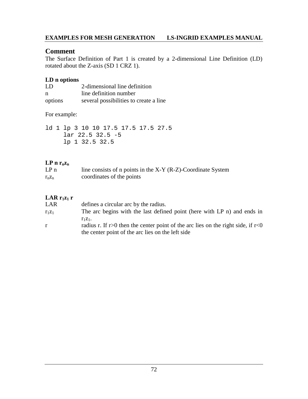# **Comment**

The Surface Definition of Part 1 is created by a 2-dimensional Line Definition (LD) rotated about the Z-axis (SD 1 CRZ 1).

### **LD n options**

| -LD     | 2-dimensional line definition          |
|---------|----------------------------------------|
| n       | line definition number                 |
| options | several possibilities to create a line |

### For example:

ld 1 lp 3 10 10 17.5 17.5 17.5 27.5 lar 22.5 32.5 -5 lp 1 32.5 32.5

## $LP n r_n z_n$

| LP <sub>n</sub> | line consists of n points in the $X-Y$ (R-Z)-Coordinate System |
|-----------------|----------------------------------------------------------------|
| $r_n z_n$       | coordinates of the points                                      |

# **LAR**  $r_1z_1$  **r**

| LAR      | defines a circular arc by the radius.                                                                                                               |
|----------|-----------------------------------------------------------------------------------------------------------------------------------------------------|
| $r_1z_1$ | The arc begins with the last defined point (here with LP n) and ends in                                                                             |
| r        | $r_1z_1$ .<br>radius r. If r>0 then the center point of the arc lies on the right side, if r<0<br>the center point of the arc lies on the left side |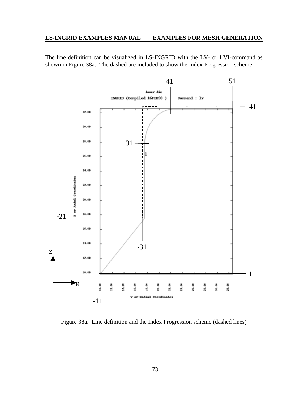The line definition can be visualized in LS-INGRID with the LV- or LVI-command as shown in Figure 38a. The dashed are included to show the Index Progression scheme.



Figure 38a. Line definition and the Index Progression scheme (dashed lines)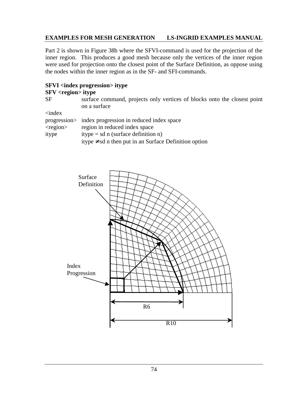Part 2 is shown in Figure 38b where the SFVI-command is used for the projection of the inner region. This produces a good mesh because only the vertices of the inner region were used for projection onto the closest point of the Surface Definition, as oppose using the nodes within the inner region as in the SF- and SFI-commands.

# **SFVI <index progression> itype**

### **SFV <region> itype**

SF surface command, projects only vertices of blocks onto the closest point on a surface

<index

| $\sim$ $\sim$ $\sim$ |                                                            |
|----------------------|------------------------------------------------------------|
|                      | progression in reduced index space                         |
| $<$ region $>$       | region in reduced index space                              |
| itype                | itype = sd n (surface definition n)                        |
|                      | itype $\neq$ sd n then put in an Surface Definition option |

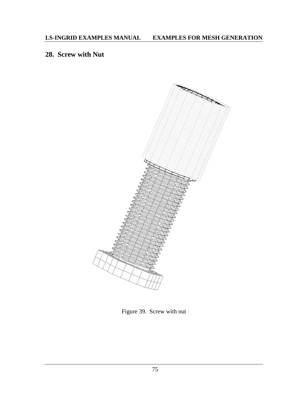# **28. Screw with Nut**



Figure 39. Screw with nut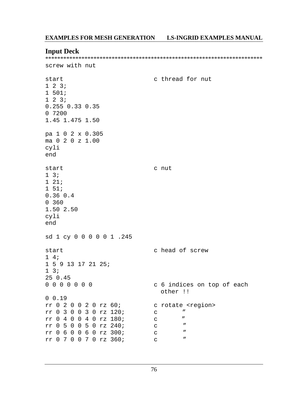#### **Input Deck**

screw with nut

c thread for nut start  $1 \t2 \t31$  $1 501;$  $1 \t2 \t31$ 0.255 0.33 0.35  $0.7200$ 1.45 1.475 1.50 pa 1 0 2 x 0.305 ma 0 2 0 z 1.00 cyli end start c nut  $1 \quad 3;$  $121;$  $1 51;$  $0.36$   $0.4$  $0, 360$ 1.50 2.50 cyli end sd 1 cy 0 0 0 0 0 1 .245 c head of screw start  $1\quad 4i$ 1 5 9 13 17 21 25;  $1 \overline{3}$  $250.45$  $0\quad 0\quad 0\quad 0\quad 0\quad 0\quad 0$ c 6 indices on top of each other !!  $0 0.19$ rr 0 2 0 0 2 0 rz 60; c rotate <region> rr 0 3 0 0 3 0 rz 120;  $\boldsymbol{\mathsf{H}}$  $\mathbf C$ rr 0 4 0 0 4 0 rz 180;  $\boldsymbol{\mathit{H}}$  $\mathsf{C}$ rr 0 5 0 0 5 0 rz 240;  $\boldsymbol{\eta}$  $\mathbf{C}$  $\overline{u}$ rr 0 6 0 0 6 0 rz 300;  $\mathbf{C}$ rr 0 7 0 0 7 0 rz 360;  $\overline{\phantom{a}}$  $\mathbf{C}$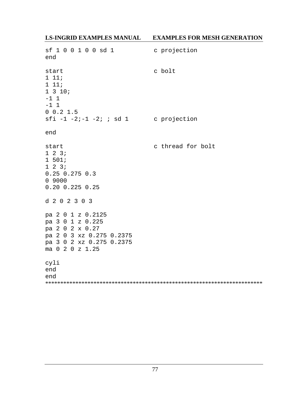| sf 1 0 0 1 0 0 sd 1<br>end                                                                                                          | c projection      |
|-------------------------------------------------------------------------------------------------------------------------------------|-------------------|
| start<br>1 11;<br>1 11;<br>1310;<br>$-1$ 1<br>$-1$ 1<br>0 0.2 1.5                                                                   | c bolt            |
| $sfi -1 -2i -1 -2i i sd 1$ c projection                                                                                             |                   |
| end                                                                                                                                 |                   |
| start<br>$1 \t2 \t3$<br>1 501;<br>$1 \t2 \t3i$<br>$0.25$ 0.275 0.3<br>0 9000<br>$0.20$ $0.225$ $0.25$                               | c thread for bolt |
| d 2 0 2 3 0 3                                                                                                                       |                   |
| pa 2 0 1 z 0.2125<br>pa 3 0 1 z 0.225<br>pa 2 0 2 x 0.27<br>pa 2 0 3 xz 0.275 0.2375<br>pa 3 0 2 xz 0.275 0.2375<br>ma 0 2 0 z 1.25 |                   |
| cyli<br>end<br>end                                                                                                                  |                   |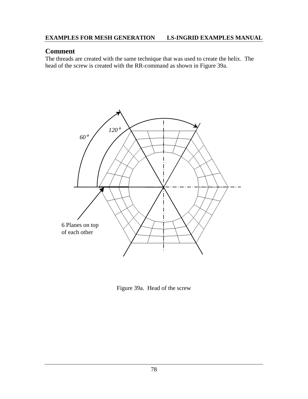# **Comment**

The threads are created with the same technique that was used to create the helix. The head of the screw is created with the RR-command as shown in Figure 39a.



Figure 39a. Head of the screw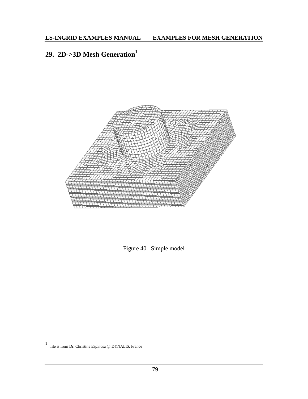# **29. 2D->3D Mesh Generation<sup>1</sup>**



Figure 40. Simple model

1 file is from Dr. Christine Espinosa @ DYNALIS, France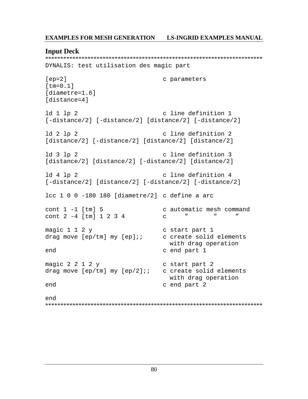#### **Input Deck**

```
DYNALIS: test utilisation des magic part
[ep=2]c parameters
[tm=0.1][diametre=1.6]
[distance=4]
ld 1 lp 2
                             c line definition 1
[-distance/2] [-distance/2] [distance/2] [-distance/2]
ld 2 lp 2c line definition 2
[distance/2] [-distance/2] [distance/2] [distance/2]
ld 3 lp 2
                             c line definition 3
[distance/2] [distance/2] [-distance/2] [distance/2]
ld 4 lp 2
                             c line definition 4
[-distance/2] [distance/2] [-distance/2] [-distance/2]
lcc 1 0 0 -180 180 [diametre/2] c define a arc
cont 1 - 1 [tm] 5
                             c automatic mesh command
cont 2 - 4 [tm] 1 2 3 4\mathbf{u}\mathbf{u}\mathbf{u}\mathbf{C}magic 1 1 2 yc start part 1
                             c create solid elements
drag move [ep/tm] my [ep];;
                               with drag operation
end
                             c end part 1
magic 2 2 1 2 yc start part 2
drag move [ep/tm] my [ep/2];;
                             c create solid elements
                               with drag operation
end
                             c end part 2
end
```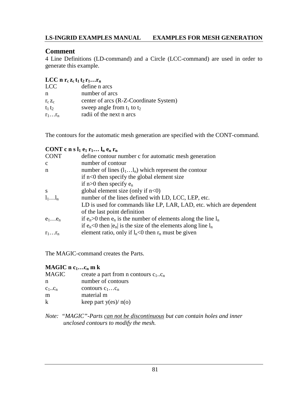# **Comment**

4 Line Definitions (LD-command) and a Circle (LCC-command) are used in order to generate this example.

### **LCC** n  $\mathbf{r}_c$   $\mathbf{z}_c$   $\mathbf{t}_1$   $\mathbf{t}_2$   $\mathbf{r}_1$ ... $\mathbf{r}_n$

| LCC.             | define n arcs                          |
|------------------|----------------------------------------|
| n                | number of arcs                         |
| $r_c$ $z_c$      | center of arcs (R-Z-Coordinate System) |
| $t_1 t_2$        | sweep angle from $t_1$ to $t_2$        |
| $r_1 \ldots r_n$ | radii of the next n arcs               |

The contours for the automatic mesh generation are specified with the CONT-command.

# **CONT** c n s  $l_1$  e<sub>1</sub>  $r_1...$   $l_n$  e<sub>n</sub>  $r_n$

| <b>CONT</b>      | define contour number c for automatic mesh generation                  |
|------------------|------------------------------------------------------------------------|
| $\mathbf{c}$     | number of contour                                                      |
| n                | number of lines $(l_1l_n)$ which represent the contour                 |
|                  | if $n<0$ then specify the global element size                          |
|                  | if $n>0$ then specify $e_n$                                            |
| <sup>S</sup>     | global element size (only if $n<0$ )                                   |
| $l_1l_n$         | number of the lines defined with LD, LCC, LEP, etc.                    |
|                  | LD is used for commands like LP, LAR, LAD, etc. which are dependent    |
|                  | of the last point definition                                           |
| $e_1e_n$         | if $e_n>0$ then $e_n$ is the number of elements along the line $l_n$   |
|                  | if $e_n < 0$ then $ e_n $ is the size of the elements along line $l_n$ |
| $r_1 \ldots r_n$ | element ratio, only if $l_n$ <0 then $r_n$ must be given               |
|                  |                                                                        |

The MAGIC-command creates the Parts.

### **MAGIC n c<sub>1</sub>…c<sub>n</sub> m k**

| <b>MAGIC</b> | create a part from n contours $c_1.c_n$ |
|--------------|-----------------------------------------|
| n            | number of contours                      |
| $C_1C_n$     | contours $c_1c_n$                       |
| m            | material m                              |
| k            | keep part $y(es)/n(o)$                  |
|              |                                         |

*Note: "MAGIC"-Parts can not be discontinuous but can contain holes and inner unclosed contours to modify the mesh.*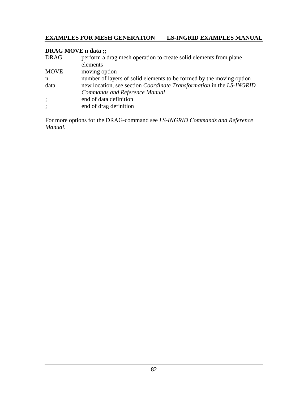# **DRAG MOVE n data ;;**

| <b>DRAG</b> | perform a drag mesh operation to create solid elements from plane           |
|-------------|-----------------------------------------------------------------------------|
|             | elements                                                                    |
| <b>MOVE</b> | moving option                                                               |
| n           | number of layers of solid elements to be formed by the moving option        |
| data        | new location, see section <i>Coordinate Transformation</i> in the LS-INGRID |
|             | <b>Commands and Reference Manual</b>                                        |
| $\vdots$    | end of data definition                                                      |
| $\vdots$    | end of drag definition                                                      |

For more options for the DRAG-command see *LS-INGRID Commands and Reference Manual*.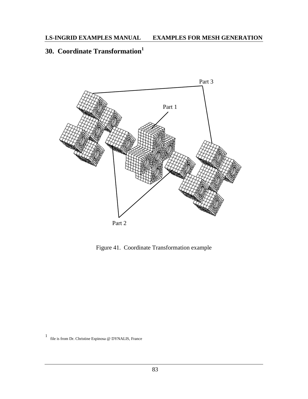# **30. Coordinate Transformation<sup>1</sup>**



Figure 41. Coordinate Transformation example

<sup>1</sup> file is from Dr. Christine Espinosa @ DYNALIS, France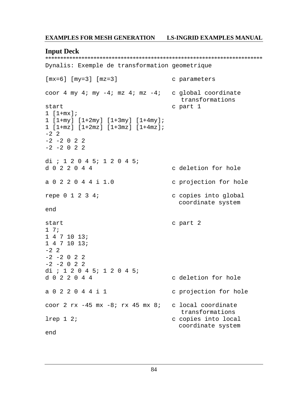#### **Input Deck**

\*\*\*\*\*\*\*\*\*\*\*\*\*\*\*\*\*\*\*\*\*\*\*\*\*\*\*\*\*\*\*\*\*\*\*\*\*\*\*\*\*\*\*\*\*\*\*\*\*\*\*\*\*\*\*\*\*\*\*\*\*\*\*\*\*\*\*\*\*\*\*\* Dynalis: Exemple de transformation geometrique

```
[mx=6] [my=3] [mz=3] c parameters
coor 4 my 4; my -4; mz 4; mz -4; c global coordinate
                               transformations
start c part 1
1 [1+mx];
1 [1+my] [1+2my] [1+3my] [1+4my];
1 [1+mz] [1+2mz] [1+3mz] [1+4mz];
-2 2
-2 -2 0 2 2
-2 -2 0 2 2
di ; 1 2 0 4 5; 1 2 0 4 5;
d 0 2 2 0 4 4 c deletion for hole
a 0 2 2 0 4 4 i 1.0 c projection for hole
repe 0 1 2 3 4; c copies into global
                               coordinate system
end
start c part 2
1 7;
1 4 7 10 13;
1 4 7 10 13;
-2 \quad 2-2 -2 0 2 2
-2 -2 0 2 2
di ; 1 2 0 4 5; 1 2 0 4 5;<br>d 0 2 2 0 4 4
                             c deletion for hole
a 0 2 2 0 4 4 i 1 c projection for hole
coor 2 rx -45 mx -8; rx 45 mx 8; c local coordinate
                               transformations
lrep 1 2; end on the copies into local
                               coordinate system
end
```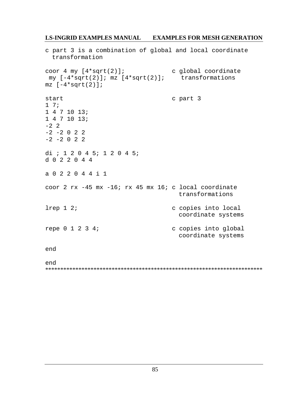c part 3 is a combination of global and local coordinate transformation coor 4 my  $[4*sqrt(2)]$ ; c global coordinate my  $[-4*sqrt(2)]$ ; mz  $[4*sqrt(2)]$ ; transformations  $mz$  [-4\*sqrt(2)]; c part 3 start  $1 \t7i$  $1471013;$  $1471013;$  $-2$  2  $-2$   $-2$  0 2 2  $-2$   $-2$  0 2 2 di ; 1 2 0 4 5; 1 2 0 4 5; d 0 2 2 0 4 4 a 0 2 2 0 4 4 i 1 coor 2 rx -45 mx -16; rx 45 mx 16; c local coordinate transformations  $lrep 1 2i$ c copies into local coordinate systems repe 0 1 2 3 4; c copies into global coordinate systems end end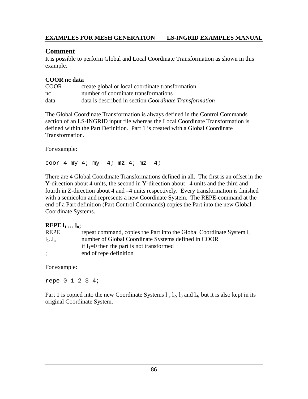## **Comment**

It is possible to perform Global and Local Coordinate Transformation as shown in this example.

### **COOR nc data**

| <b>COOR</b> | create global or local coordinate transformation       |
|-------------|--------------------------------------------------------|
| nc          | number of coordinate transformations                   |
| data        | data is described in section Coordinate Transformation |

The Global Coordinate Transformation is always defined in the Control Commands section of an LS-INGRID input file whereas the Local Coordinate Transformation is defined within the Part Definition. Part 1 is created with a Global Coordinate Transformation.

For example:

coor 4 my 4; my  $-4$ ; mz 4; mz  $-4$ ;

There are 4 Global Coordinate Transformations defined in all. The first is an offset in the Y-direction about 4 units, the second in Y-direction about –4 units and the third and fourth in Z-direction about 4 and –4 units respectively. Every transformation is finished with a semicolon and represents a new Coordinate System. The REPE-command at the end of a Part definition (Part Control Commands) copies the Part into the new Global Coordinate Systems.

### **REPE l1 … ln;**

| <b>REPE</b> | repeat command, copies the Part into the Global Coordinate System $l_n$ |
|-------------|-------------------------------------------------------------------------|
| $l_1l_n$    | number of Global Coordinate Systems defined in COOR                     |
|             | if $l_1=0$ then the part is not transformed                             |
| $\cdot$     | end of repe definition                                                  |

For example:

repe 0 1 2 3 4;

Part 1 is copied into the new Coordinate Systems  $l_1$ ,  $l_2$ ,  $l_3$  and  $l_4$ , but it is also kept in its original Coordinate System.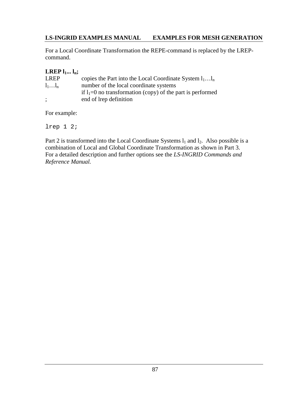For a Local Coordinate Transformation the REPE-command is replaced by the LREPcommand.

# **LREP**  $l_1... l_n$ ;

| <b>LREP</b> | copies the Part into the Local Coordinate System $l_1l_n$    |
|-------------|--------------------------------------------------------------|
| $l_1l_n$    | number of the local coordinate systems                       |
|             | if $l_1=0$ no transformation (copy) of the part is performed |
| $\cdot$     | end of lrep definition                                       |

For example:

lrep 1 2;

Part 2 is transformed into the Local Coordinate Systems  $l_1$  and  $l_2$ . Also possible is a combination of Local and Global Coordinate Transformation as shown in Part 3. For a detailed description and further options see the *LS-INGRID Commands and Reference Manual.*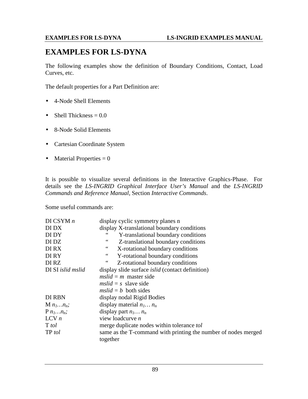# **EXAMPLES FOR LS-DYNA**

The following examples show the definition of Boundary Conditions, Contact, Load Curves, etc.

The default properties for a Part Definition are:

- 4-Node Shell Elements
- Shell Thickness  $= 0.0$
- 8-Node Solid Elements
- Cartesian Coordinate System
- Material Properties  $= 0$

It is possible to visualize several definitions in the Interactive Graphics-Phase. For details see the *LS-INGRID Graphical Interface User's Manual* and the *LS-INGRID Commands and Reference Manual*, Section *Interactive Commands*.

Some useful commands are:

| DI CSYM $n$       | display cyclic symmetry planes n                                                 |
|-------------------|----------------------------------------------------------------------------------|
| DI DX             | display X-translational boundary conditions                                      |
| DI DY             | Y-translational boundary conditions                                              |
| DI DZ             | $\,$ 6 $\,$<br>Z-translational boundary conditions                               |
| <b>DIRX</b>       | $\boldsymbol{\epsilon}\boldsymbol{\epsilon}$<br>X-rotational boundary conditions |
| DI RY             | 66<br>Y-rotational boundary conditions                                           |
| DI RZ             | $\ddot{\phantom{0}}\phantom{0}$<br>Z-rotational boundary conditions              |
| DI SI islid mslid | display slide surface <i>islid</i> (contact definition)                          |
|                   | $mslid = m$ master side                                                          |
|                   | $mslid = s$ slave side                                                           |
|                   | $mslid = b$ both sides                                                           |
| DI RBN            | display nodal Rigid Bodies                                                       |
| $M$ $n_1n_n$ ;    | display material $n_1 n_n$                                                       |
| $P n_1n_n$ ;      | display part $n_1 n_n$                                                           |
| $LCV$ $n$         | view loadcurve $n$                                                               |
| T tol             | merge duplicate nodes within tolerance tol                                       |
| TP tol            | same as the T-command with printing the number of nodes merged<br>together       |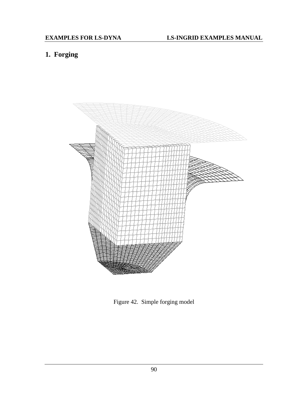# **1. Forging**



Figure 42. Simple forging model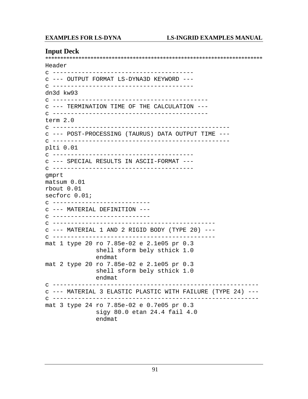#### **Input Deck**

\*\*\*\*\*\*\*\*\*\*\*\*\*\*\*\*\*\*\*\*\*\*\*\*\*\*\*\*\*\*\*\*\*\*\*\*\*\*\*\*\*\*\*\*\*\*\*\*\*\*\*\*\*\*\*\*\*\*\*\*\*\*\*\*\*\*\*\*\*\*\*\* Header c -------------------------------------- c --- OUTPUT FORMAT LS-DYNA3D KEYWORD -- c -------------------------------------- dn3d kw93 c ------------------------------------------ c --- TERMINATION TIME OF THE CALCULATION -- c ------------------------------------------ term 2.0 c ------------------------------------------------ c --- POST-PROCESSING (TAURUS) DATA OUTPUT TIME -- c ------------------------------------------------ plti 0.01 c -------------------------------------- c --- SPECIAL RESULTS IN ASCII-FORMAT -- c -------------------------------------- gmprt matsum 0.01 rbout 0.01 secforc 0.01; c -------------------------- c --- MATERIAL DEFINITION -- c -------------------------- c --------------------------------------------  $c$  --- MATERIAL 1 AND 2 RIGID BODY (TYPE 20) --c -------------------------------------------- mat 1 type 20 ro 7.85e-02 e 2.1e05 pr 0.3 shell sform bely sthick 1.0 endmat mat 2 type 20 ro 7.85e-02 e 2.1e05 pr 0.3 shell sform bely sthick 1.0 endmat c -------------------------------------------------------- c --- MATERIAL 3 ELASTIC PLASTIC WITH FAILURE (TYPE 24) -- c -------------------------------------------------------- mat 3 type 24 ro 7.85e-02 e 0.7e05 pr 0.3 sigy 80.0 etan 24.4 fail 4.0 endmat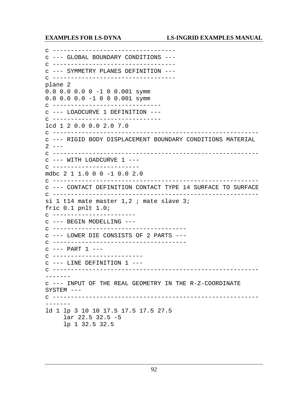c --------------------------------- c --- GLOBAL BOUNDARY CONDITIONS -- c --------------------------------- c --- SYMMETRY PLANES DEFINITION -- c --------------------------------- plane 2 0.0 0.0 0.0 0 -1 0 0.001 symm 0.0 0.0 0.0 -1 0 0 0.001 symm c ----------------------------- c --- LOADCURVE 1 DEFINITION -- c ----------------------------- lcd 1 2 0.0 0.0 2.0 7.0 c -------------------------------------------------------- c --- RIGID BODY DISPLACEMENT BOUNDARY CONDITIONS MATERIAL  $2 - -$ c -------------------------------------------------------- c --- WITH LOADCURVE 1 -- c ----------------------- mdbc 2 1 1.0 0 0 -1 0.0 2.0 c -------------------------------------------------------- c --- CONTACT DEFINITION CONTACT TYPE 14 SURFACE TO SURFACE c -------------------------------------------------------- si 1 t14 mate master 1,2 ; mate slave 3; fric 0.1 pnlt 1.0; c ---------------------- c --- BEGIN MODELLING -- c ------------------------------------ c --- LOWER DIE CONSISTS OF 2 PARTS -- c ------------------------------------  $c$  --- PART  $1$  --c ------------------------ c --- LINE DEFINITION 1 -- c --------------------------------------------------------- ------ c --- INPUT OF THE REAL GEOMETRY IN THE R-Z-COORDINATE SYSTEM -- c --------------------------------------------------------- ------ ld 1 lp 3 10 10 17.5 17.5 17.5 27.5 lar 22.5 32.5 -5 lp 1 32.5 32.5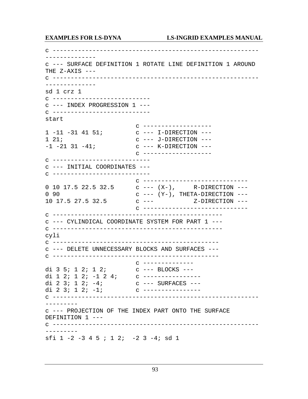c --------------------------------------------------------- ------------- c --- SURFACE DEFINITION 1 ROTATE LINE DEFINITION 1 AROUND THE  $Z-AXIS$  --c --------------------------------------------------------- ------------- sd 1 crz 1 c -------------------------- c --- INDEX PROGRESSION 1 -- c -------------------------- start c ------------------- 1 -11 -31 41 51; c --- I-DIRECTION --- 1 21; c --- J-DIRECTION --- -1 -21 31 -41; c --- K-DIRECTION -- c ------------------ c -------------------------- c --- INITIAL COORDINATES -- c -------------------------- c ----------------------------- 0 10 17.5 22.5 32.5 c --- (X-), R-DIRECTION --- 0 90 c --- (Y-), THETA-DIRECTION ---10 17.5 27.5 32.5 c --- Z-DIRECTION -- c ---------------------------- c ---------------------------------------------- c --- CYLINDICAL COORDINATE SYSTEM FOR PART 1 -- c ---------------------------------------------- cyli c --------------------------------------------- c --- DELETE UNNECESSARY BLOCKS AND SURFACES -- c --------------------------------------------- c ------------- di 3 5; 1 2; 1 2; c --- BLOCKS --di 1 2; 1 2; -1 2 4; c ---------------di 2 3; 1 2; -4; c --- SURFACES --di 2 3; 1 2; -1; c ---------------c --------------------------------------------------------- -------- c --- PROJECTION OF THE INDEX PART ONTO THE SURFACE DEFINITION 1 -- c --------------------------------------------------------- -------- sfi 1 -2 -3 4 5 ; 1 2; -2 3 -4; sd 1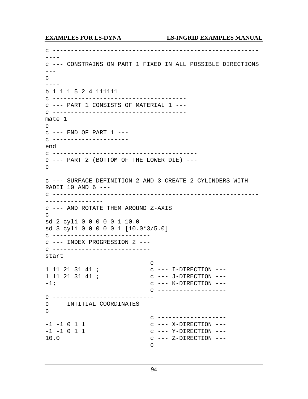c ---------------------------------------------------------  $$ c --- CONSTRAINS ON PART 1 FIXED IN ALL POSSIBLE DIRECTIONS  $- -$ c ---------------------------------------------------------  $$ b 1 1 1 5 2 4 111111 c ------------------------------------ c --- PART 1 CONSISTS OF MATERIAL 1 -- c ------------------------------------ mate 1 c -------------------- c --- END OF PART 1 -- c -------------------- end c --------------------------------------- c --- PART 2 (BOTTOM OF THE LOWER DIE) -- c --------------------------------------------------------- --------------- c --- SURFACE DEFINITION 2 AND 3 CREATE 2 CYLINDERS WITH RADII 10 AND  $6$  --c --------------------------------------------------------- --------------- c --- AND ROTATE THEM AROUND Z-AXIS c -------------------------------- sd 2 cyli 0 0 0 0 0 1 10.0 sd 3 cyli 0 0 0 0 0 1 [10.0\*3/5.0] c -------------------------- c --- INDEX PROGRESSION 2 -- c -------------------------- start c ------------------- 1 11 21 31 41 ; c --- I-DIRECTION ---1 11 21 31 41 ; c --- J-DIRECTION ----1; c --- K-DIRECTION -- c ------------------ c --------------------------- c --- INTITIAL COORDINATES -- c --------------------------- c ------------------- -1 -1 0 1 1 c --- X-DIRECTION ----1 -1 0 1 1 c --- Y-DIRECTION ---10.0 c --- Z-DIRECTION -- c -------------------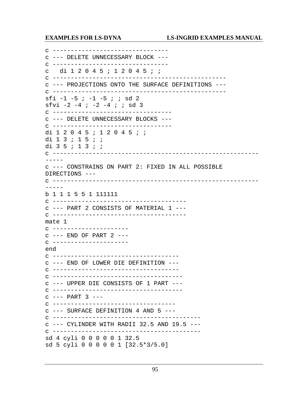c ------------------------------- c --- DELETE UNNECESSARY BLOCK -- c ------------------------------- c di 1 2 0 4 5 ; 1 2 0 4 5 ; ; c ----------------------------------------------- c --- PROJECTIONS ONTO THE SURFACE DEFINITIONS -- c ----------------------------------------------- sfi  $-1$   $-5$  ;  $-1$   $-5$  ; ; sd 2 sfvi -2 -4 ; -2 -4 ; ; sd 3 c -------------------------------- c --- DELETE UNNECESSARY BLOCKS -- c -------------------------------- di 1 2 0 4 5 ; 1 2 0 4 5 ; ; di 1 3 ; 1 5 ; ; di 3 5 ; 1 3 ; ; c ---------------------------------------------------------  $----$ c --- CONSTRAINS ON PART 2: FIXED IN ALL POSSIBLE DIRECTIONS -- c --------------------------------------------------------- ---- b 1 1 1 5 5 1 111111 c ------------------------------------ c --- PART 2 CONSISTS OF MATERIAL 1 -- c ------------------------------------ mate 1 c -------------------- c --- END OF PART 2 -- c -------------------- end c ---------------------------------- c --- END OF LOWER DIE DEFINITION -- c ---------------------------------- c ----------------------------------- c --- UPPER DIE CONSISTS OF 1 PART -- c -----------------------------------  $c$  --- PART  $3$  --c --------------------------------- c --- SURFACE DEFINITION 4 AND 5 -- c ---------------------------------------- c --- CYLINDER WITH RADII 32.5 AND 19.5 -- c ---------------------------------------- sd 4 cyli 0 0 0 0 0 1 32.5 sd 5 cyli 0 0 0 0 0 1 [32.5\*3/5.0]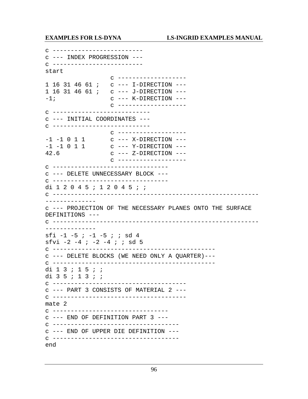c ------------------------ c --- INDEX PROGRESSION -- c ------------------------ start c ------------------- 1 16 31 46 61 ; c --- I-DIRECTION --- 1 16 31 46 61 ; c --- J-DIRECTION --- -1; c --- K-DIRECTION -- c ------------------ c -------------------------- c --- INITIAL COORDINATES -- c -------------------------- c ------------------- -1 -1 0 1 1 c --- X-DIRECTION ----1 -1 0 1 1 c --- Y-DIRECTION ---42.6 c --- Z-DIRECTION -- c ------------------ c ------------------------------- c --- DELETE UNNECESSARY BLOCK -- c ------------------------------- di 1 2 0 4 5 ; 1 2 0 4 5 ; ; c --------------------------------------------------------- ------------- c --- PROJECTION OF THE NECESSARY PLANES ONTO THE SURFACE DEFINITIONS -- c --------------------------------------------------------- ------------- sfi -1 -5 ; -1 -5 ; ; sd 4 sfvi -2 -4 ; -2 -4 ; ; sd 5 c -------------------------------------------- c --- DELETE BLOCKS (WE NEED ONLY A QUARTER)-- c -------------------------------------------- di 1 3 ; 1 5 ; ; di 3 5 ; 1 3 ; ; c ------------------------------------ c --- PART 3 CONSISTS OF MATERIAL 2 -- c ------------------------------------ mate 2 c ------------------------------- c --- END OF DEFINITION PART 3 -- c ---------------------------------- c --- END OF UPPER DIE DEFINITION -- c ---------------------------------- end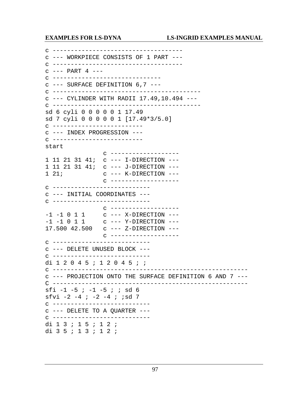c ----------------------------------- c --- WORKPIECE CONSISTS OF 1 PART -- c ----------------------------------- c --- PART 4 -- c -----------------------------  $c$  --- SURFACE DEFINITION  $6.7$  --c ---------------------------------------- c --- CYLINDER WITH RADII 17.49,10.494 -- c ---------------------------------------- sd 6 cyli 0 0 0 0 0 1 17.49 sd 7 cyli 0 0 0 0 0 1 [17.49\*3/5.0] c ------------------------ c --- INDEX PROGRESSION -- c ------------------------ start c ------------------- 1 11 21 31 41; c --- I-DIRECTION --- 1 11 21 31 41; c --- J-DIRECTION --- 1 21; c --- K-DIRECTION -- c ------------------ c -------------------------- c --- INITIAL COORDINATES -- c -------------------------- c ------------------- -1 -1 0 1 1 c --- X-DIRECTION ----1 -1 0 1 1 c --- Y-DIRECTION --- 17.500 42.500 c --- Z-DIRECTION -- c ------------------ c -------------------------- c --- DELETE UNUSED BLOCK -- c -------------------------- di 1 2 0 4 5 ; 1 2 0 4 5 ; ; c ----------------------------------------------------- c --- PROJECTION ONTO THE SURFACE DEFINITION 6 AND 7 --- C ----------------------------------------------------- sfi -1 -5 ; -1 -5 ; ; sd 6 sfvi  $-2$   $-4$  ;  $-2$   $-4$  ; ;sd 7 c -------------------------- c --- DELETE TO A QUARTER -- c -------------------------- di 1 3 ; 1 5 ; 1 2 ; di 3 5 ; 1 3 ; 1 2 ;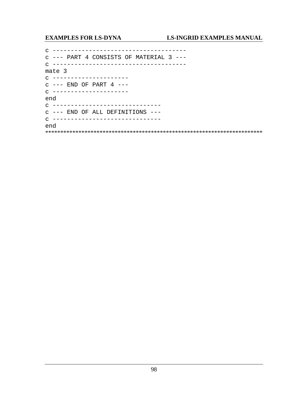c --- PART 4 CONSISTS OF MATERIAL 3 ---mate 3  $C$  --------------------- $C$  ---  $END$  OF PART  $4$  ---C ---------------------end C ------------------------------c --- END OF ALL DEFINITIONS ---C -----------------------------end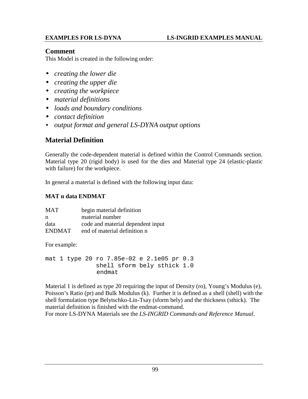## **Comment**

This Model is created in the following order:

- *creating the lower die*
- *creating the upper die*
- *creating the workpiece*
- *material definitions*
- *loads and boundary conditions*
- *contact definition*
- *output format and general LS-DYNA output options*

# **Material Definition**

Generally the code-dependent material is defined within the Control Commands section. Material type 20 (rigid body) is used for the dies and Material type 24 (elastic-plastic with failure) for the workpiece.

In general a material is defined with the following input data:

## **MAT n data ENDMAT**

| <b>MAT</b>    | begin material definition         |
|---------------|-----------------------------------|
| n             | material number                   |
| data          | code and material dependent input |
| <b>ENDMAT</b> | end of material definition n      |

For example:

mat 1 type 20 ro 7.85e-02 e 2.1e05 pr 0.3 shell sform bely sthick 1.0 endmat

Material 1 is defined as type 20 requiring the input of Density (ro), Young's Modulus (e), Poisson's Ratio (pr) and Bulk Modulus (k). Further it is defined as a shell (shell) with the shell formulation type Belytschko-Lin-Tsay (sform bely) and the thickness (sthick). The material definition is finished with the endmat-command.

For more LS-DYNA Materials see the *LS-INGRID Commands and Reference Manual*.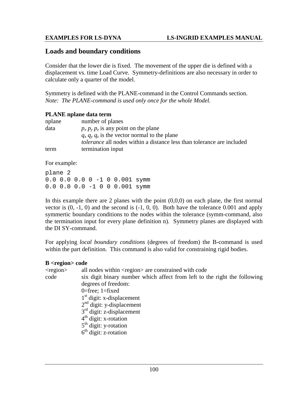### **Loads and boundary conditions**

Consider that the lower die is fixed. The movement of the upper die is defined with a displacement vs. time Load Curve. Symmetry-definitions are also necessary in order to calculate only a quarter of the model.

Symmetry is defined with the PLANE-command in the Control Commands section. *Note: The PLANE-command is used only once for the whole Model.*

#### **PLANE nplane data term**

| nplane | number of planes                                                              |
|--------|-------------------------------------------------------------------------------|
| data   | $p_x p_y p_z$ is any point on the plane                                       |
|        | $q_x q_y q_z$ is the vector normal to the plane                               |
|        | <i>tolerance</i> all nodes within a distance less than tolerance are included |
| term   | termination input                                                             |

For example:

plane 2 0.0 0.0 0.0 0 -1 0 0.001 symm 0.0 0.0 0.0 -1 0 0 0.001 symm

In this example there are 2 planes with the point  $(0,0,0)$  on each plane, the first normal vector is  $(0, -1, 0)$  and the second is  $(-1, 0, 0)$ . Both have the tolerance 0.001 and apply symmertic boundary conditions to the nodes within the tolerance (symm-command, also the termination input for every plane definition n). Symmetry planes are displayed with the DI SY-command.

For applying *local boundary conditions* (degrees of freedom) the B-command is used within the part definition. This command is also valid for constraining rigid bodies.

#### **B <region> code**

| $<$ region $>$ | all nodes within <region> are constrained with code</region>              |
|----------------|---------------------------------------------------------------------------|
| code           | six digit binary number which affect from left to the right the following |
|                | degrees of freedom:                                                       |
|                | 0=free; $1$ =fixed                                                        |
|                | $1st$ digit: x-displacement                                               |
|                | $2nd$ digit: y-displacement                                               |
|                | $3rd$ digit: z-displacement                                               |
|                | $4th$ digit: x-rotation                                                   |
|                | $5th$ digit: y-rotation                                                   |
|                | $6th$ digit: z-rotation                                                   |
|                |                                                                           |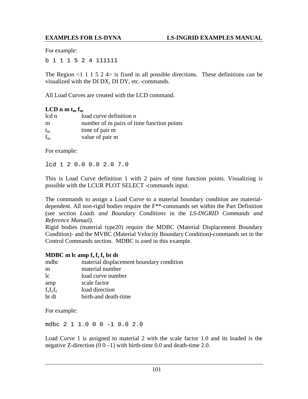For example:

b 1 1 1 5 2 4 111111

The Region  $\leq 1$  1 1 5 2 4> is fixed in all possible directions. These definitions can be visualized with the DI DX, DI DY, etc.-commands.

All Load Curves are created with the LCD command.

## $LCD n m t_m f_m$

| lcd n       | load curve definition n                   |
|-------------|-------------------------------------------|
| m           | number of m pairs of time function points |
| $t_{\rm m}$ | time of pair m                            |
| $f_{m}$     | value of pair m                           |

For example:

lcd 1 2 0.0 0.0 2.0 7.0

This is Load Curve definition 1 with 2 pairs of time function points. Visualizing is possible with the LCUR PLOT SELECT -commands input.

The commands to assign a Load Curve to a material boundary condition are materialdependent. All non-rigid bodies require the F\*\*-commands set within the Part Definition (see section *Loads and Boundary Conditions* in the *LS-INGRID Commands and Reference Manual).*

Rigid bodies (material type20) require the MDBC (Material Displacement Boundary Condition)- and the MVBC (Material Velocity Boundary Condition)-commands set in the Control Commands section. MDBC is used in this example.

### **MDBC** m lc amp  $f_x f_y f_z$  bt dt

| mdbc          | material displacement boundary condition |
|---------------|------------------------------------------|
| m             | material number                          |
| 1c            | load curve number                        |
| amp           | scale factor                             |
| $f_x f_y f_z$ | load direction                           |
| bt dt         | birth-and death-time                     |

For example:

mdbc 2 1 1.0 0 0 -1 0.0 2.0

Load Curve 1 is assigned to material 2 with the scale factor 1.0 and its loaded is the negative Z-direction  $(0\ 0\ -1)$  with birth-time 0.0 and death-time 2.0.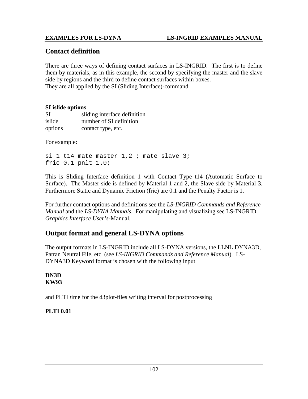# **Contact definition**

There are three ways of defining contact surfaces in LS-INGRID. The first is to define them by materials, as in this example, the second by specifying the master and the slave side by regions and the third to define contact surfaces within boxes. They are all applied by the SI (Sliding Interface)-command.

#### **SI islide options**

| SI      | sliding interface definition |
|---------|------------------------------|
| islide  | number of SI definition      |
| options | contact type, etc.           |

For example:

si  $1$  tl4 mate master  $1,2$  ; mate slave  $3$ ; fric 0.1 pnlt 1.0;

This is Sliding Interface definition 1 with Contact Type t14 (Automatic Surface to Surface). The Master side is defined by Material 1 and 2, the Slave side by Material 3. Furthermore Static and Dynamic Friction (fric) are 0.1 and the Penalty Factor is 1.

For further contact options and definitions see the *LS-INGRID Commands and Reference Manual* and the *LS-DYNA Manuals*. For manipulating and visualizing see LS-INGRID *Graphics Interface User's*-Manual.

# **Output format and general LS-DYNA options**

The output formats in LS-INGRID include all LS-DYNA versions, the LLNL DYNA3D, Patran Neutral File, etc. (see *LS-INGRID Commands and Reference Manual*). LS-DYNA3D Keyword format is chosen with the following input

### **DN3D KW93**

and PLTI *t*ime for the d3plot-files writing interval for postprocessing

# **PLTI 0.01**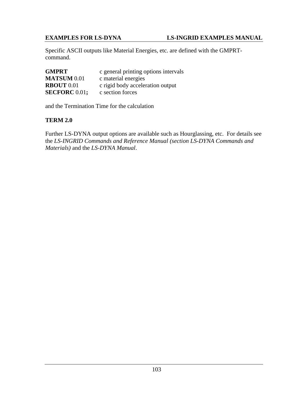#### **EXAMPLES FOR LS-DYNA LS-INGRID EXAMPLES MANUAL**

Specific ASCII outputs like Material Energies, etc. are defined with the GMPRTcommand.

| <b>GMPRT</b>         | c general printing options intervals |  |  |
|----------------------|--------------------------------------|--|--|
| <b>MATSUM 0.01</b>   | c material energies                  |  |  |
| <b>RBOUT 0.01</b>    | c rigid body acceleration output     |  |  |
| <b>SECFORC</b> 0.01; | c section forces                     |  |  |

and the Termination Time for the calculation

#### **TERM 2.0**

Further LS-DYNA output options are available such as Hourglassing, etc. For details see the *LS-INGRID Commands and Reference Manual (section LS-DYNA Commands and Materials)* and the *LS-DYNA Manual*.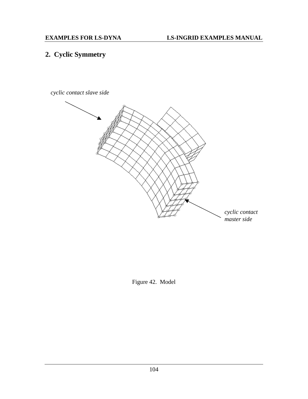# **2. Cyclic Symmetry**

*cyclic contact slave side*



Figure 42. Model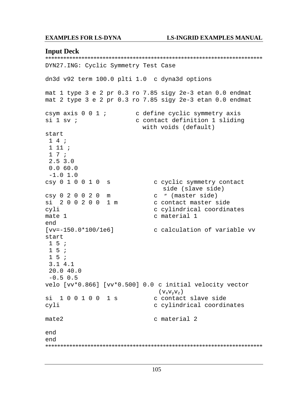#### **EXAMPLES FOR LS-DYNA**

#### **LS-INGRID EXAMPLES MANUAL**

#### **Input Deck**

DYN27.ING: Cyclic Symmetry Test Case dn3d v92 term 100.0 plti 1.0 c dyna3d options mat 1 type 3 e 2 pr 0.3 ro 7.85 sigy 2e-3 etan 0.0 endmat mat 2 type 3 e 2 pr 0.3 ro 7.85 sigy 2e-3 etan 0.0 endmat csym axis 0 0 1 ; c define cyclic symmetry axis  $si$  1 sv ; c contact definition 1 sliding with voids (default) start  $14;$  $1 11 i$  $17i$  $2.5$  3.0  $0.060.0$  $-1.0 1.0$ csy 0 1 0 0 1 0 s c cyclic symmetry contact side (slave side) c " (master side) csy 0 2 0 0 2 0 m si 200200 1 m c contact master side cyli c cylindrical coordinates c material 1 mate 1 end [vv=-150.0\*100/1e6] c calculation of variable vv start  $1\overline{5}$ ;  $15;$  $1\overline{5}$  ;  $3.14.1$  $20.040.0$  $-0.5$  0.5 velo [vv\*0.866] [vv\*0.500] 0.0 c initial velocity vector  $(\overline{V_xV_vV_z})$ si 100100 1s c contact slave side cyli c cylindrical coordinates  $mate2$ c material 2 end end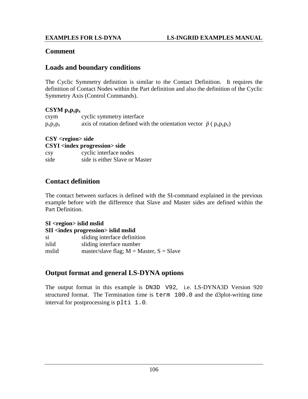## **Comment**

## **Loads and boundary conditions**

The Cyclic Symmetry definition is similar to the Contact Definition. It requires the definition of Contact Nodes within the Part definition and also the definition of the Cyclic Symmetry Axis (Control Commands).

### **CSYM pxpypz**

| c <sub>sym</sub> | cyclic symmetry interface                                                        |  |
|------------------|----------------------------------------------------------------------------------|--|
| $p_x p_y p_z$    | axis of rotation defined with the orientation vector $\vec{p}$ ( $p_x p_y p_z$ ) |  |

### **CSY <region> side**

| <b>CSYI</b> <index progression=""> side</index> |                                |  |  |  |
|-------------------------------------------------|--------------------------------|--|--|--|
| <b>CSV</b>                                      | cyclic interface nodes         |  |  |  |
| side                                            | side is either Slave or Master |  |  |  |

## **Contact definition**

The contact between surfaces is defined with the SI-command explained in the previous example before with the difference that Slave and Master sides are defined within the Part Definition.

**SI <region> islid mslid SII <index progression> islid mslid** si sliding interface definition islid sliding interface number mslid master/slave flag;  $M = Master$ ,  $S = Slave$ 

## **Output format and general LS-DYNA options**

The output format in this example is DN3D V92, i.e. LS-DYNA3D Version 920 structured format. The Termination time is term 100.0 and the d3plot-writing time interval for postprocessing is plti 1.0.